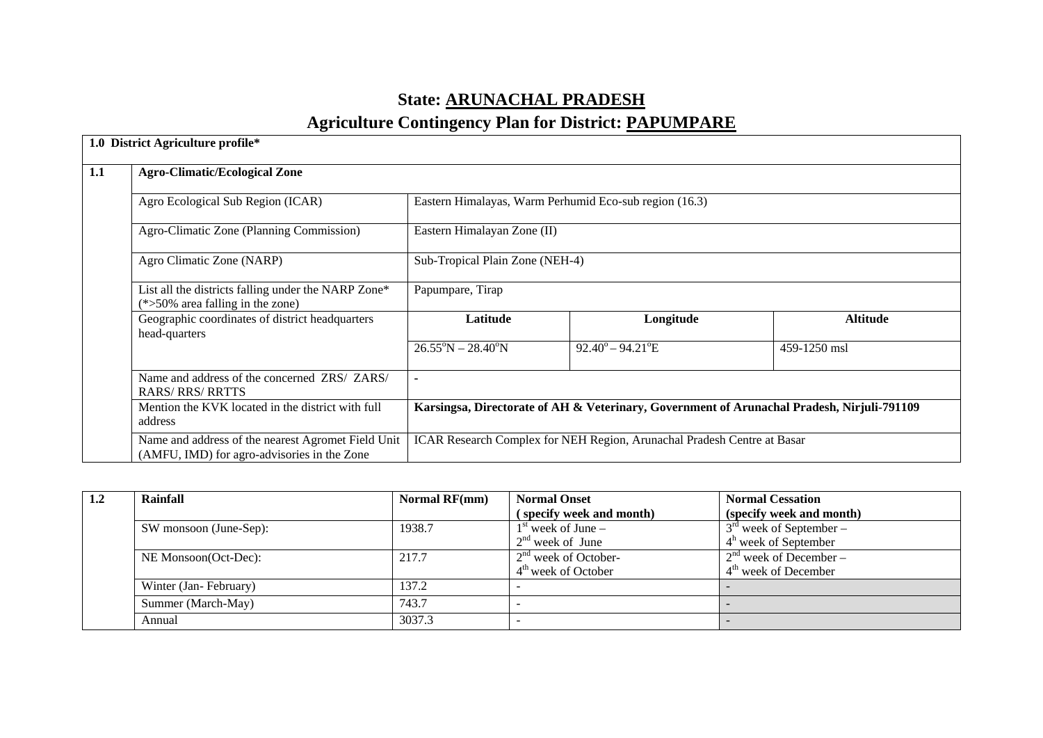# **State: ARUNACHAL PRADESH**

# **Agriculture Contingency Plan for District: PAPUMPARE**

|     | 1.0 District Agriculture profile*                                                                 |                                                                                            |                                                                         |                 |  |
|-----|---------------------------------------------------------------------------------------------------|--------------------------------------------------------------------------------------------|-------------------------------------------------------------------------|-----------------|--|
| 1.1 | <b>Agro-Climatic/Ecological Zone</b>                                                              |                                                                                            |                                                                         |                 |  |
|     | Agro Ecological Sub Region (ICAR)                                                                 |                                                                                            | Eastern Himalayas, Warm Perhumid Eco-sub region (16.3)                  |                 |  |
|     | Agro-Climatic Zone (Planning Commission)                                                          | Eastern Himalayan Zone (II)                                                                |                                                                         |                 |  |
|     | Agro Climatic Zone (NARP)                                                                         | Sub-Tropical Plain Zone (NEH-4)                                                            |                                                                         |                 |  |
|     | List all the districts falling under the NARP Zone*<br>$(*>50\%$ area falling in the zone)        | Papumpare, Tirap                                                                           |                                                                         |                 |  |
|     | Geographic coordinates of district headquarters<br>head-quarters                                  | Latitude                                                                                   | Longitude                                                               | <b>Altitude</b> |  |
|     |                                                                                                   | $26.55^{\circ}N - 28.40^{\circ}N$                                                          | $92.40^{\circ} - 94.21^{\circ}E$                                        | 459-1250 msl    |  |
|     | Name and address of the concerned ZRS/ ZARS/<br><b>RARS/RRS/RRTTS</b>                             | ۰                                                                                          |                                                                         |                 |  |
|     | Mention the KVK located in the district with full<br>address                                      | Karsingsa, Directorate of AH & Veterinary, Government of Arunachal Pradesh, Nirjuli-791109 |                                                                         |                 |  |
|     | Name and address of the nearest Agromet Field Unit<br>(AMFU, IMD) for agro-advisories in the Zone |                                                                                            | ICAR Research Complex for NEH Region, Arunachal Pradesh Centre at Basar |                 |  |

| 1.2 | Rainfall               | <b>Normal RF(mm)</b> | <b>Normal Onset</b>      | <b>Normal Cessation</b>   |
|-----|------------------------|----------------------|--------------------------|---------------------------|
|     |                        |                      | (specify week and month) | (specify week and month)  |
|     | SW monsoon (June-Sep): | 1938.7               | $1st$ week of June –     | $3rd$ week of September – |
|     |                        |                      | $2nd$ week of June       | $4h$ week of September    |
|     | NE Monsoon(Oct-Dec):   | 217.7                | $2nd$ week of October-   | $2nd$ week of December –  |
|     |                        |                      | $4th$ week of October    | $4th$ week of December    |
|     | Winter (Jan-February)  | 137.2                |                          |                           |
|     | Summer (March-May)     | 743.7                |                          |                           |
|     | Annual                 | 3037.3               |                          |                           |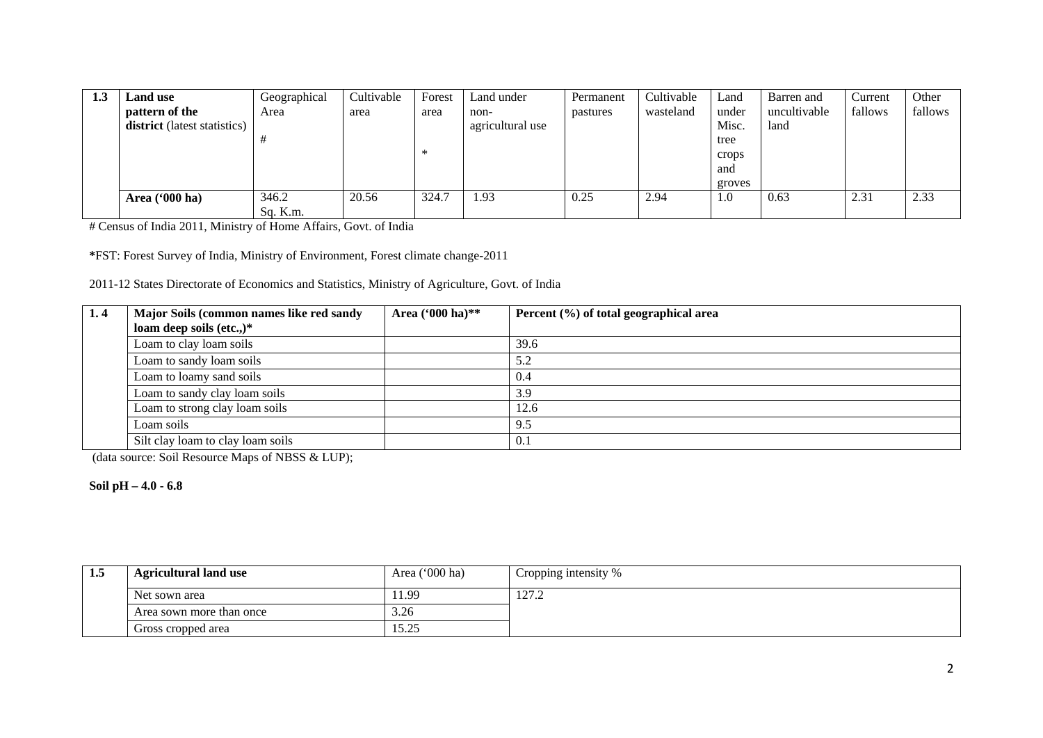| 1.3 | <b>Land</b> use              | Geographical | Cultivable | Forest | Land under       | Permanent | Cultivable | Land   | Barren and   | Current | Other   |
|-----|------------------------------|--------------|------------|--------|------------------|-----------|------------|--------|--------------|---------|---------|
|     | pattern of the               | Area         | area       | area   | non-             | pastures  | wasteland  | under  | uncultivable | fallows | fallows |
|     | district (latest statistics) |              |            |        | agricultural use |           |            | Misc.  | land         |         |         |
|     |                              |              |            |        |                  |           |            | tree   |              |         |         |
|     |                              |              |            | ∗      |                  |           |            | crops  |              |         |         |
|     |                              |              |            |        |                  |           |            | and    |              |         |         |
|     |                              |              |            |        |                  |           |            | groves |              |         |         |
|     | Area ('000 ha)               | 346.2        | 20.56      | 324.7  | .93              | 0.25      | 2.94       | 1.0    | 0.63         | 2.31    | 2.33    |
|     |                              | Sq. K.m.     |            |        |                  |           |            |        |              |         |         |

# Census of India 2011, Ministry of Home Affairs, Govt. of India

**\***FST: Forest Survey of India, Ministry of Environment, Forest climate change-2011

2011-12 States Directorate of Economics and Statistics, Ministry of Agriculture, Govt. of India

| 1.4 | Major Soils (common names like red sandy<br>loam deep soils (etc.,) $*$ | Area ('000 ha)** | Percent $(\% )$ of total geographical area |
|-----|-------------------------------------------------------------------------|------------------|--------------------------------------------|
|     | Loam to clay loam soils                                                 |                  | 39.6                                       |
|     | Loam to sandy loam soils                                                |                  | 5.2                                        |
|     | Loam to loamy sand soils                                                |                  | 0.4                                        |
|     | Loam to sandy clay loam soils                                           |                  | 3.9                                        |
|     | Loam to strong clay loam soils                                          |                  | 12.6                                       |
|     | Loam soils                                                              |                  | 9.5                                        |
|     | Silt clay loam to clay loam soils                                       |                  | 0.1                                        |

(data source: Soil Resource Maps of NBSS & LUP);

**Soil pH – 4.0 - 6.8**

| -1.5 | <b>Agricultural land use</b> | Area ('000 ha) | Cropping intensity % |
|------|------------------------------|----------------|----------------------|
|      | Net sown area                | 11.99          | 127.2                |
|      | Area sown more than once     | 3.26           |                      |
|      | Gross cropped area           | 15.25          |                      |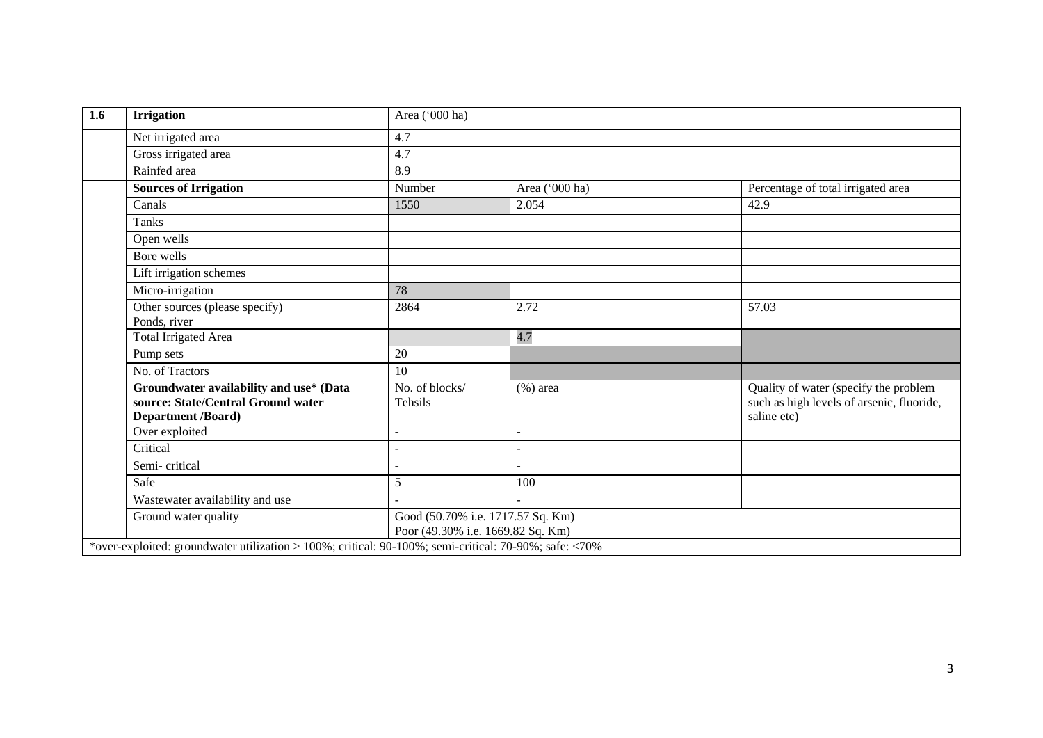| <b>Irrigation</b>                                                                                          | Area ('000 ha)                                                         |                          |                                                                                                   |  |  |
|------------------------------------------------------------------------------------------------------------|------------------------------------------------------------------------|--------------------------|---------------------------------------------------------------------------------------------------|--|--|
| Net irrigated area                                                                                         | 4.7                                                                    |                          |                                                                                                   |  |  |
| Gross irrigated area                                                                                       | 4.7                                                                    |                          |                                                                                                   |  |  |
| Rainfed area                                                                                               | 8.9                                                                    |                          |                                                                                                   |  |  |
| <b>Sources of Irrigation</b>                                                                               | Number                                                                 | Area ('000 ha)           | Percentage of total irrigated area                                                                |  |  |
| Canals                                                                                                     | 1550                                                                   | 2.054                    | 42.9                                                                                              |  |  |
| Tanks                                                                                                      |                                                                        |                          |                                                                                                   |  |  |
| Open wells                                                                                                 |                                                                        |                          |                                                                                                   |  |  |
| Bore wells                                                                                                 |                                                                        |                          |                                                                                                   |  |  |
| Lift irrigation schemes                                                                                    |                                                                        |                          |                                                                                                   |  |  |
| Micro-irrigation                                                                                           | 78                                                                     |                          |                                                                                                   |  |  |
| Other sources (please specify)                                                                             | 2864                                                                   | 2.72                     | 57.03                                                                                             |  |  |
| Ponds, river                                                                                               |                                                                        |                          |                                                                                                   |  |  |
| <b>Total Irrigated Area</b>                                                                                |                                                                        | 4.7                      |                                                                                                   |  |  |
| Pump sets                                                                                                  | 20                                                                     |                          |                                                                                                   |  |  |
| No. of Tractors                                                                                            | 10                                                                     |                          |                                                                                                   |  |  |
| Groundwater availability and use* (Data<br>source: State/Central Ground water<br><b>Department /Board)</b> | No. of blocks/<br>Tehsils                                              | $(\%)$ area              | Quality of water (specify the problem<br>such as high levels of arsenic, fluoride,<br>saline etc) |  |  |
| Over exploited                                                                                             | ÷                                                                      | $\overline{\phantom{a}}$ |                                                                                                   |  |  |
| Critical                                                                                                   |                                                                        |                          |                                                                                                   |  |  |
| Semi-critical                                                                                              |                                                                        |                          |                                                                                                   |  |  |
| Safe                                                                                                       | 5                                                                      | 100                      |                                                                                                   |  |  |
| Wastewater availability and use                                                                            |                                                                        |                          |                                                                                                   |  |  |
| Ground water quality                                                                                       | Good (50.70% i.e. 1717.57 Sq. Km)<br>Poor (49.30% i.e. 1669.82 Sq. Km) |                          |                                                                                                   |  |  |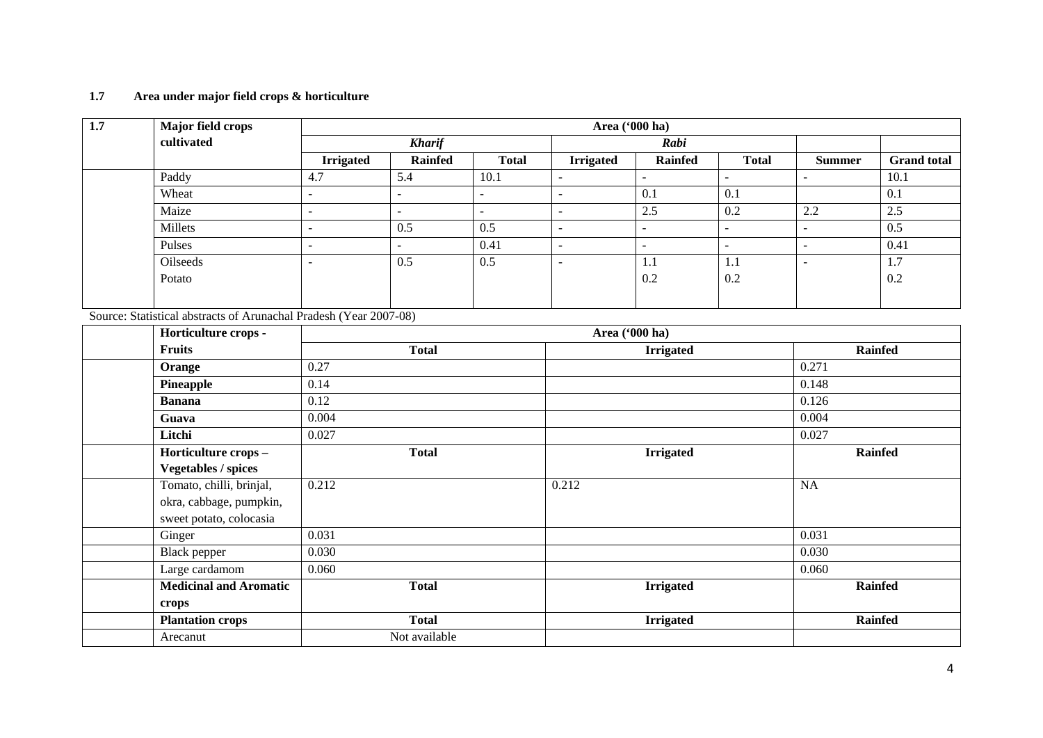#### **1.7 Area under major field crops & horticulture**

| $\overline{1.7}$ | <b>Major field crops</b>                                          |                  | Area ('000 ha) |              |                      |                  |                |                      |                    |  |  |  |
|------------------|-------------------------------------------------------------------|------------------|----------------|--------------|----------------------|------------------|----------------|----------------------|--------------------|--|--|--|
|                  | cultivated                                                        |                  | <b>Kharif</b>  |              |                      | Rabi             |                |                      |                    |  |  |  |
|                  |                                                                   | <b>Irrigated</b> | <b>Rainfed</b> | <b>Total</b> | <b>Irrigated</b>     | <b>Rainfed</b>   | <b>Total</b>   | <b>Summer</b>        | <b>Grand total</b> |  |  |  |
|                  | Paddy                                                             | 4.7              | 5.4            | 10.1         | $\blacksquare$       | $\blacksquare$   | $\blacksquare$ | $\sim$               | 10.1               |  |  |  |
|                  | Wheat                                                             | $\sim$           | $\sim$         | $\equiv$     | ÷.                   | 0.1              | 0.1            |                      | 0.1                |  |  |  |
|                  | Maize                                                             | $\mathbb{Z}^2$   | $\mathbb{Z}^2$ | $\mathbf{r}$ | ÷,                   | 2.5              | 0.2            | 2.2                  | $\overline{2.5}$   |  |  |  |
|                  | Millets                                                           | $\sim$           | 0.5            | 0.5          | $\overline{a}$       | $\blacksquare$   | $\blacksquare$ | $\overline{a}$       | 0.5                |  |  |  |
|                  | Pulses                                                            | $\sim$           | $\omega$       | 0.41         | $\sim$               | $\sim$           | $\blacksquare$ | $\blacksquare$       | 0.41               |  |  |  |
|                  | Oilseeds                                                          | $\sim$           | 0.5            | 0.5          | $\ddot{\phantom{1}}$ | 1.1              | 1.1            | $\ddot{\phantom{1}}$ | 1.7                |  |  |  |
|                  | Potato                                                            |                  |                |              |                      | 0.2              | 0.2            |                      | 0.2                |  |  |  |
|                  |                                                                   |                  |                |              |                      |                  |                |                      |                    |  |  |  |
|                  | Source: Statistical abstracts of Arunachal Pradesh (Year 2007-08) |                  |                |              |                      |                  |                |                      |                    |  |  |  |
|                  | Horticulture crops -                                              |                  |                |              |                      |                  |                |                      |                    |  |  |  |
|                  | <b>Fruits</b>                                                     |                  | <b>Total</b>   |              | <b>Irrigated</b>     |                  |                | Rainfed              |                    |  |  |  |
|                  | Orange                                                            | 0.27             |                |              |                      |                  |                | 0.271                |                    |  |  |  |
|                  | Pineapple                                                         | 0.14             |                |              |                      |                  |                | 0.148                |                    |  |  |  |
|                  | <b>Banana</b>                                                     | 0.12             |                |              |                      |                  |                | 0.126                |                    |  |  |  |
|                  | Guava                                                             | 0.004            |                |              |                      |                  |                | 0.004                |                    |  |  |  |
|                  | Litchi                                                            | 0.027            |                |              |                      |                  |                | 0.027                |                    |  |  |  |
|                  | Horticulture crops -                                              |                  | <b>Total</b>   |              |                      | <b>Irrigated</b> |                |                      | Rainfed            |  |  |  |
|                  | <b>Vegetables / spices</b>                                        |                  |                |              |                      |                  |                |                      |                    |  |  |  |
|                  | Tomato, chilli, brinjal,                                          | 0.212            |                |              | 0.212                |                  |                | <b>NA</b>            |                    |  |  |  |
|                  | okra, cabbage, pumpkin,                                           |                  |                |              |                      |                  |                |                      |                    |  |  |  |
|                  | sweet potato, colocasia                                           |                  |                |              |                      |                  |                |                      |                    |  |  |  |
|                  | Ginger                                                            | 0.031            |                |              |                      |                  |                | 0.031                |                    |  |  |  |
|                  | <b>Black</b> pepper                                               | 0.030            |                |              |                      |                  |                | 0.030                |                    |  |  |  |
|                  | Large cardamom                                                    | 0.060            |                |              |                      |                  |                | 0.060                |                    |  |  |  |
|                  | <b>Medicinal and Aromatic</b>                                     |                  | <b>Total</b>   |              |                      | <b>Irrigated</b> |                |                      | <b>Rainfed</b>     |  |  |  |
|                  | crops                                                             |                  |                |              |                      |                  |                |                      |                    |  |  |  |
|                  | <b>Plantation crops</b>                                           |                  | <b>Total</b>   |              |                      | <b>Irrigated</b> |                |                      | Rainfed            |  |  |  |
|                  | Arecanut                                                          |                  | Not available  |              |                      |                  |                |                      |                    |  |  |  |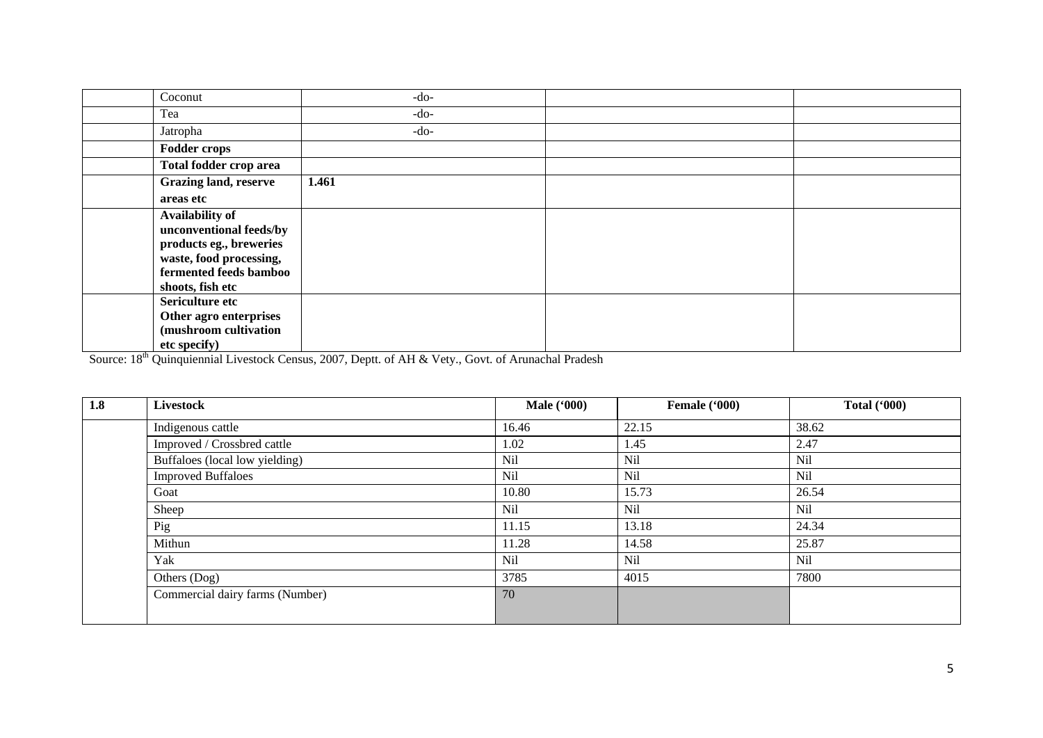| Coconut                      | $-do-$ |  |
|------------------------------|--------|--|
| Tea                          | $-do-$ |  |
| Jatropha                     | $-do-$ |  |
| <b>Fodder crops</b>          |        |  |
| Total fodder crop area       |        |  |
| <b>Grazing land, reserve</b> | 1.461  |  |
| areas etc                    |        |  |
| <b>Availability of</b>       |        |  |
| unconventional feeds/by      |        |  |
| products eg., breweries      |        |  |
| waste, food processing,      |        |  |
| fermented feeds bamboo       |        |  |
| shoots, fish etc             |        |  |
| Sericulture etc              |        |  |
| Other agro enterprises       |        |  |
| (mushroom cultivation        |        |  |
| etc specify)                 |        |  |

Source: 18<sup>th</sup> Quinquiennial Livestock Census, 2007, Deptt. of AH & Vety., Govt. of Arunachal Pradesh

| 1.8 | <b>Livestock</b>                | <b>Male</b> ('000) | Female ('000) | <b>Total ('000)</b> |
|-----|---------------------------------|--------------------|---------------|---------------------|
|     | Indigenous cattle               | 16.46              | 22.15         | 38.62               |
|     | Improved / Crossbred cattle     | 1.02               | 1.45          | 2.47                |
|     | Buffaloes (local low yielding)  | <b>Nil</b>         | Nil           | <b>Nil</b>          |
|     | <b>Improved Buffaloes</b>       | <b>Nil</b>         | Nil           | Nil                 |
|     | Goat                            | 10.80              | 15.73         | 26.54               |
|     | Sheep                           | <b>Nil</b>         | Nil           | Nil                 |
|     | Pig                             | 11.15              | 13.18         | 24.34               |
|     | Mithun                          | 11.28              | 14.58         | 25.87               |
|     | Yak                             | Nil                | Nil           | Nil                 |
|     | Others (Dog)                    | 3785               | 4015          | 7800                |
|     | Commercial dairy farms (Number) | 70                 |               |                     |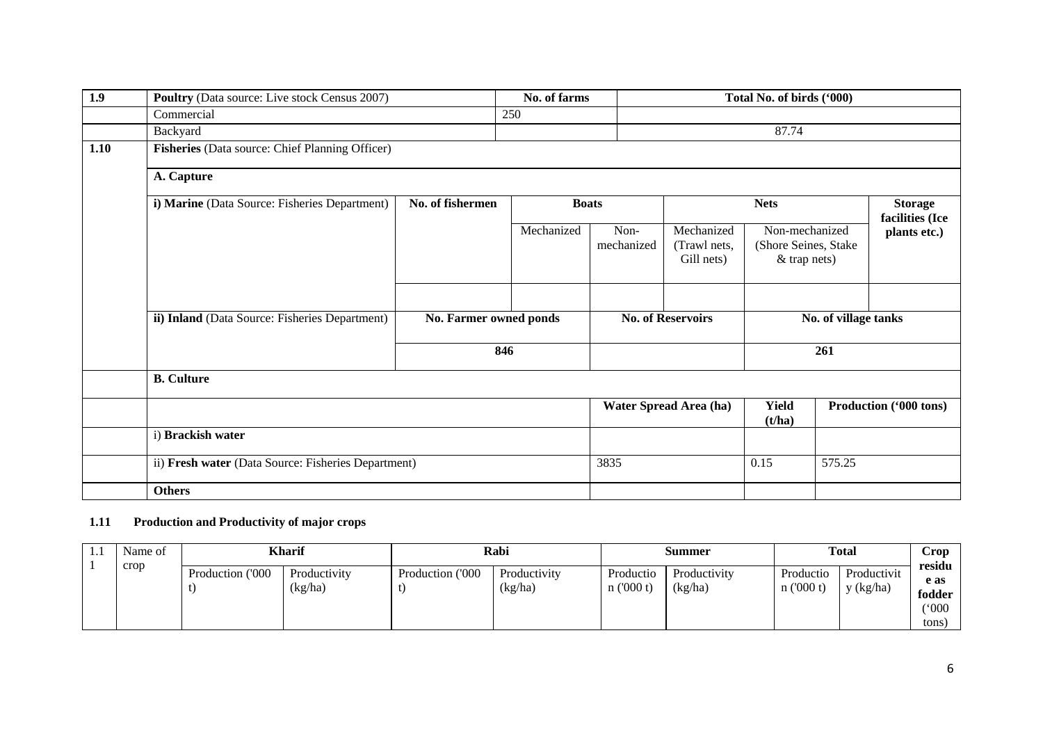| 1.9  | <b>Poultry</b> (Data source: Live stock Census 2007) |                        | No. of farms |                    | Total No. of birds ('000)                |                                                          |     |                                   |  |  |  |
|------|------------------------------------------------------|------------------------|--------------|--------------------|------------------------------------------|----------------------------------------------------------|-----|-----------------------------------|--|--|--|
|      | Commercial                                           |                        | 250          |                    |                                          |                                                          |     |                                   |  |  |  |
|      | Backyard                                             |                        |              |                    |                                          | 87.74                                                    |     |                                   |  |  |  |
| 1.10 | Fisheries (Data source: Chief Planning Officer)      |                        |              |                    |                                          |                                                          |     |                                   |  |  |  |
|      | A. Capture                                           |                        |              |                    |                                          |                                                          |     |                                   |  |  |  |
|      | i) Marine (Data Source: Fisheries Department)        | No. of fishermen       | <b>Boats</b> |                    |                                          | <b>Nets</b>                                              |     | <b>Storage</b><br>facilities (Ice |  |  |  |
|      |                                                      |                        | Mechanized   | Non-<br>mechanized | Mechanized<br>(Trawl nets,<br>Gill nets) | Non-mechanized<br>(Shore Seines, Stake<br>$&$ trap nets) |     | plants etc.)                      |  |  |  |
|      | ii) Inland (Data Source: Fisheries Department)       | No. Farmer owned ponds |              |                    | <b>No. of Reservoirs</b>                 | No. of village tanks                                     |     |                                   |  |  |  |
|      |                                                      |                        | 846          |                    |                                          |                                                          | 261 |                                   |  |  |  |
|      | <b>B.</b> Culture                                    |                        |              |                    |                                          |                                                          |     |                                   |  |  |  |
|      |                                                      |                        |              |                    | Water Spread Area (ha)                   | <b>Yield</b><br>(t/ha)                                   |     | Production ('000 tons)            |  |  |  |
|      | i) Brackish water                                    |                        |              |                    |                                          |                                                          |     |                                   |  |  |  |
|      | ii) Fresh water (Data Source: Fisheries Department)  |                        |              | 3835               |                                          | 0.15<br>575.25                                           |     |                                   |  |  |  |
|      | <b>Others</b>                                        |                        |              |                    |                                          |                                                          |     |                                   |  |  |  |

### **1.11 Production and Productivity of major crops**

| Name of | <b>Kharif</b>    |                         | Rabi             |                         | Summer                |                         | <b>Total</b>              |                          | Crop<br>residu |
|---------|------------------|-------------------------|------------------|-------------------------|-----------------------|-------------------------|---------------------------|--------------------------|----------------|
| crop    | Production ('000 | Productivity<br>(kg/ha) | Production ('000 | Productivity<br>(kg/ha) | Productio<br>n(000 t) | Productivity<br>(kg/ha) | Productio<br>$n$ ('000 t) | Productivit<br>y (kg/ha) | e as<br>fodder |
|         |                  |                         |                  |                         |                       |                         |                           |                          | (000)<br>tons. |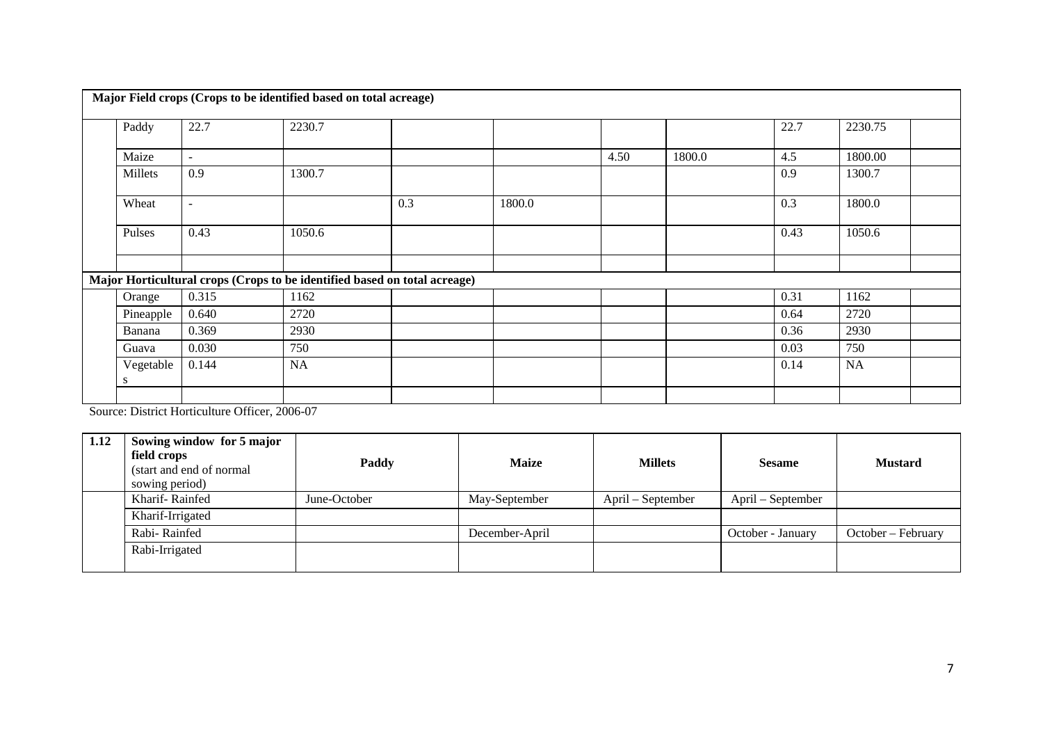|                |                          | Major Field crops (Crops to be identified based on total acreage)         |     |        |      |        |      |           |  |
|----------------|--------------------------|---------------------------------------------------------------------------|-----|--------|------|--------|------|-----------|--|
| Paddy          | 22.7                     | 2230.7                                                                    |     |        |      |        | 22.7 | 2230.75   |  |
| Maize          | $\overline{\phantom{a}}$ |                                                                           |     |        | 4.50 | 1800.0 | 4.5  | 1800.00   |  |
| Millets        | 0.9                      | 1300.7                                                                    |     |        |      |        | 0.9  | 1300.7    |  |
| Wheat          | $\overline{\phantom{a}}$ |                                                                           | 0.3 | 1800.0 |      |        | 0.3  | 1800.0    |  |
| Pulses         | 0.43                     | 1050.6                                                                    |     |        |      |        | 0.43 | 1050.6    |  |
|                |                          |                                                                           |     |        |      |        |      |           |  |
|                |                          | Major Horticultural crops (Crops to be identified based on total acreage) |     |        |      |        |      |           |  |
| Orange         | 0.315                    | 1162                                                                      |     |        |      |        | 0.31 | 1162      |  |
| Pineapple      | 0.640                    | 2720                                                                      |     |        |      |        | 0.64 | 2720      |  |
| Banana         | 0.369                    | 2930                                                                      |     |        |      |        | 0.36 | 2930      |  |
| Guava          | 0.030                    | 750                                                                       |     |        |      |        | 0.03 | 750       |  |
| Vegetable<br>S | 0.144                    | NA                                                                        |     |        |      |        | 0.14 | <b>NA</b> |  |
|                |                          |                                                                           |     |        |      |        |      |           |  |

Source: District Horticulture Officer, 2006-07

| 1.12 | Sowing window for 5 major<br>field crops<br>(start and end of normal)<br>sowing period) | Paddy        | <b>Maize</b>   | <b>Millets</b>    | <b>Sesame</b>     | <b>Mustard</b>     |
|------|-----------------------------------------------------------------------------------------|--------------|----------------|-------------------|-------------------|--------------------|
|      | Kharif-Rainfed                                                                          | June-October | May-September  | April – September | April – September |                    |
|      | Kharif-Irrigated                                                                        |              |                |                   |                   |                    |
|      | Rabi-Rainfed                                                                            |              | December-April |                   | October - January | October – February |
|      | Rabi-Irrigated                                                                          |              |                |                   |                   |                    |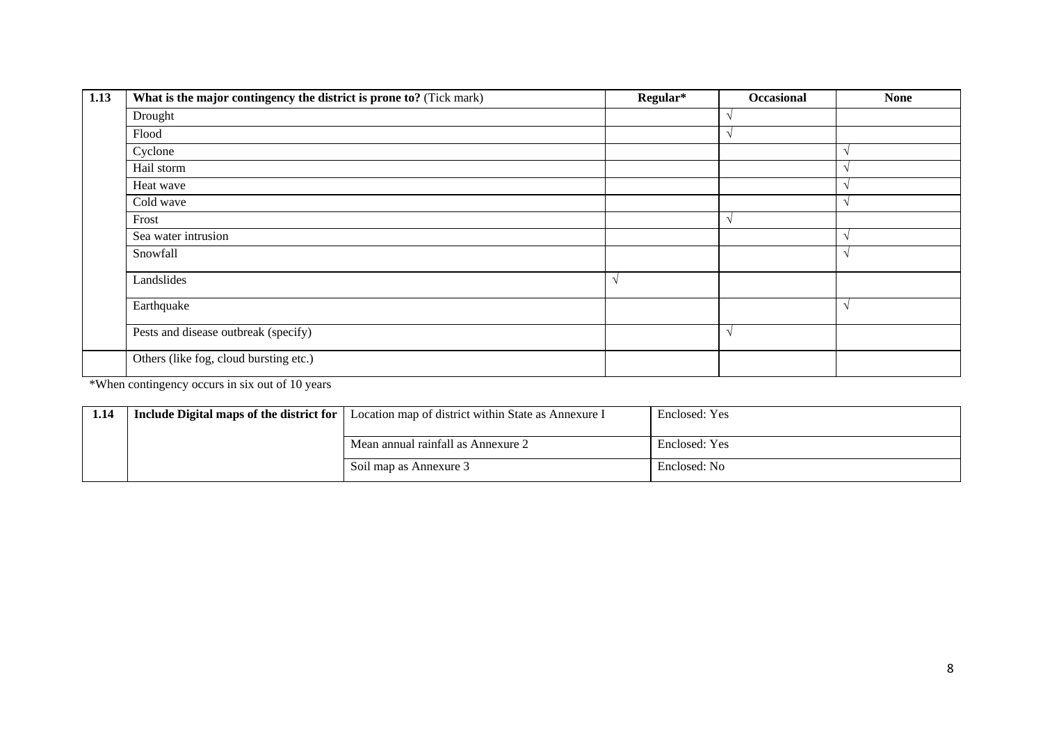| 1.13 | What is the major contingency the district is prone to? (Tick mark) | Regular*      | <b>Occasional</b> | <b>None</b> |
|------|---------------------------------------------------------------------|---------------|-------------------|-------------|
|      | Drought                                                             |               |                   |             |
|      | Flood                                                               |               |                   |             |
|      | Cyclone                                                             |               |                   |             |
|      | Hail storm                                                          |               |                   |             |
|      | Heat wave                                                           |               |                   |             |
|      | Cold wave                                                           |               |                   |             |
|      | Frost                                                               |               |                   |             |
|      | Sea water intrusion                                                 |               |                   |             |
|      | Snowfall                                                            |               |                   |             |
|      | Landslides                                                          | $\mathcal{N}$ |                   |             |
|      | Earthquake                                                          |               |                   |             |
|      | Pests and disease outbreak (specify)                                |               | $\sim$            |             |
|      | Others (like fog, cloud bursting etc.)                              |               |                   |             |

\*When contingency occurs in six out of 10 years

| 1.14 | <b>Include Digital maps of the district for</b>   Location map of district within State as Annexure I | Enclosed: Yes |
|------|-------------------------------------------------------------------------------------------------------|---------------|
|      | Mean annual rainfall as Annexure 2                                                                    | Enclosed: Yes |
|      | Soil map as Annexure 3                                                                                | Enclosed: No  |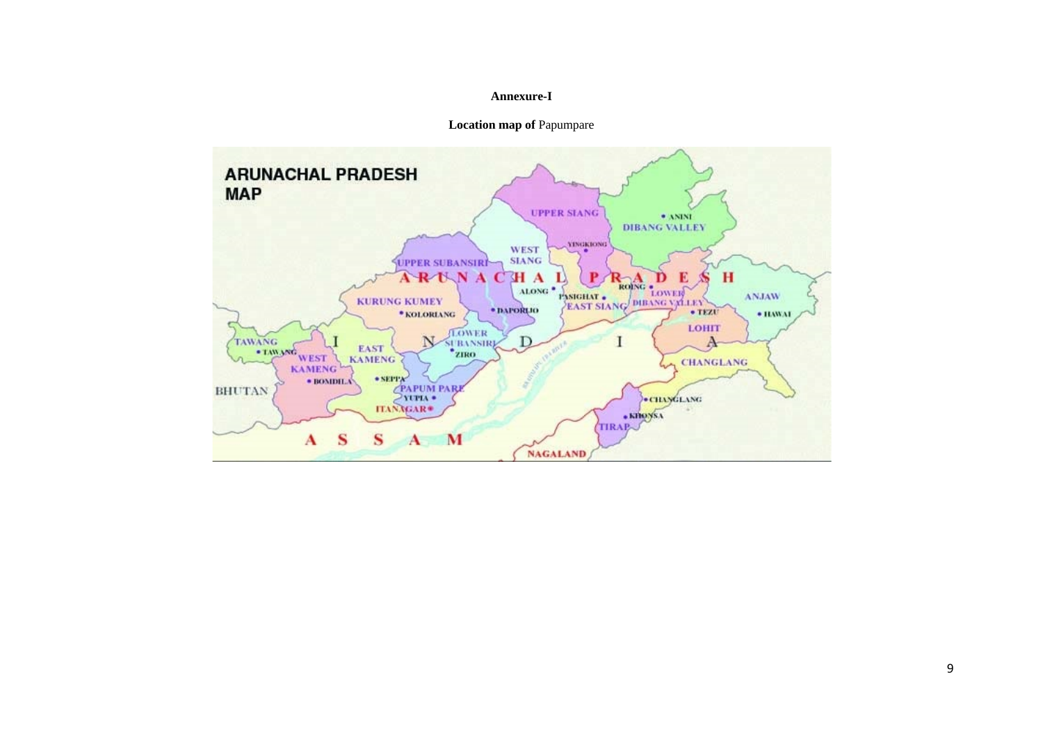#### **Annexure-I**

**Location map of** Papumpare

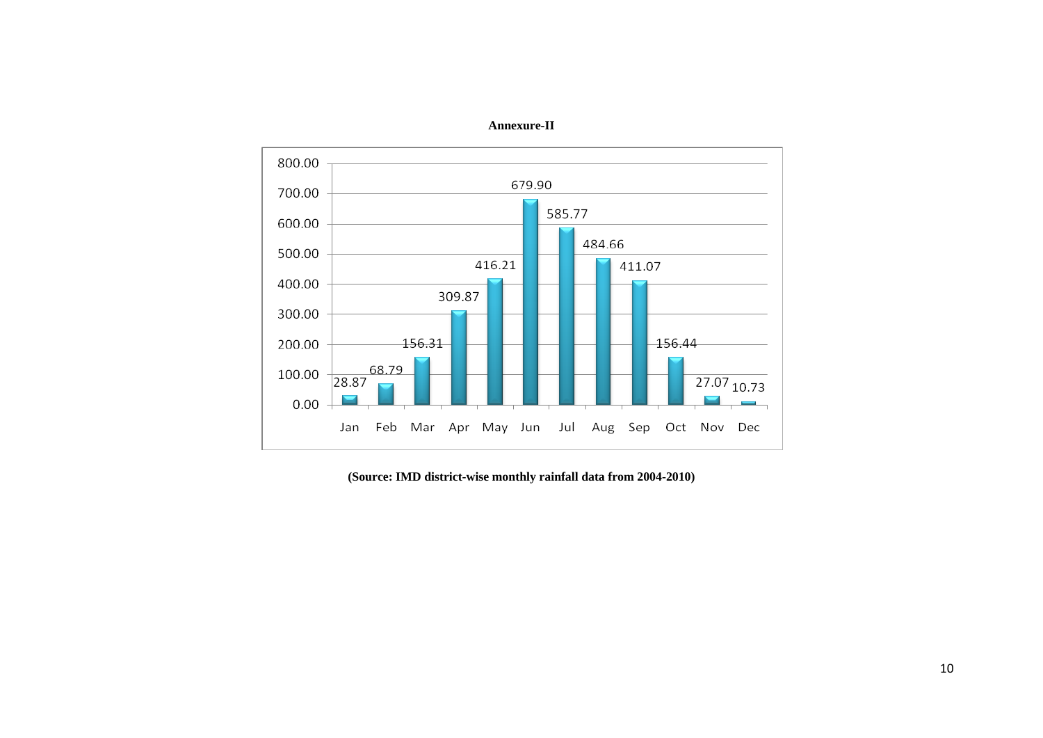

**Annexure-II**

**(Source: IMD district-wise monthly rainfall data from 2004-2010)**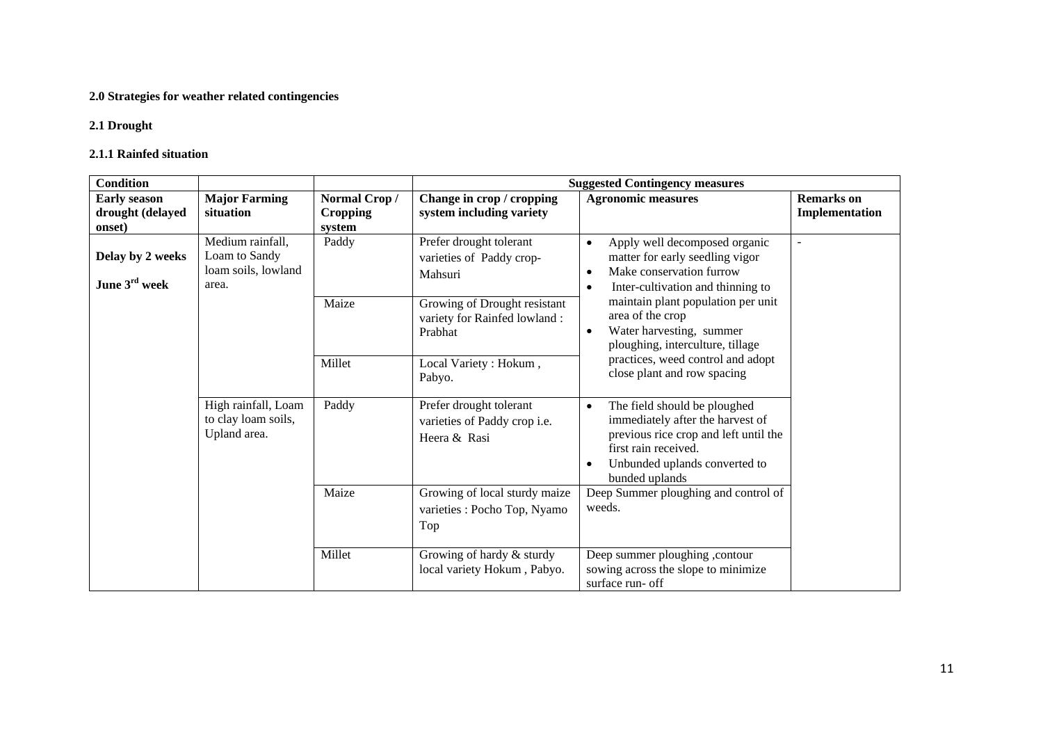#### **2.0 Strategies for weather related contingencies**

#### **2.1 Drought**

#### **2.1.1 Rainfed situation**

| <b>Condition</b>                                  |                                                                   |                                           |                                                                          | <b>Suggested Contingency measures</b>                                                                                                                                                             |                                     |
|---------------------------------------------------|-------------------------------------------------------------------|-------------------------------------------|--------------------------------------------------------------------------|---------------------------------------------------------------------------------------------------------------------------------------------------------------------------------------------------|-------------------------------------|
| <b>Early season</b><br>drought (delayed<br>onset) | <b>Major Farming</b><br>situation                                 | Normal Crop/<br><b>Cropping</b><br>system | Change in crop / cropping<br>system including variety                    | <b>Agronomic measures</b>                                                                                                                                                                         | <b>Remarks</b> on<br>Implementation |
| Delay by 2 weeks<br>June 3rd week                 | Medium rainfall,<br>Loam to Sandy<br>loam soils, lowland<br>area. | Paddy                                     | Prefer drought tolerant<br>varieties of Paddy crop-<br>Mahsuri           | Apply well decomposed organic<br>$\bullet$<br>matter for early seedling vigor<br>Make conservation furrow<br>$\bullet$<br>Inter-cultivation and thinning to<br>$\bullet$                          | $\overline{a}$                      |
|                                                   |                                                                   | Maize                                     | Growing of Drought resistant<br>variety for Rainfed lowland :<br>Prabhat | maintain plant population per unit<br>area of the crop<br>Water harvesting, summer<br>$\bullet$<br>ploughing, interculture, tillage                                                               |                                     |
|                                                   |                                                                   | Millet                                    | Local Variety : Hokum,<br>Pabyo.                                         | practices, weed control and adopt<br>close plant and row spacing                                                                                                                                  |                                     |
|                                                   | High rainfall, Loam<br>to clay loam soils,<br>Upland area.        | Paddy                                     | Prefer drought tolerant<br>varieties of Paddy crop i.e.<br>Heera & Rasi  | The field should be ploughed<br>$\bullet$<br>immediately after the harvest of<br>previous rice crop and left until the<br>first rain received.<br>Unbunded uplands converted to<br>bunded uplands |                                     |
|                                                   |                                                                   | Maize                                     | Growing of local sturdy maize<br>varieties : Pocho Top, Nyamo<br>Top     | Deep Summer ploughing and control of<br>weeds.                                                                                                                                                    |                                     |
|                                                   |                                                                   | Millet                                    | Growing of hardy & sturdy<br>local variety Hokum, Pabyo.                 | Deep summer ploughing , contour<br>sowing across the slope to minimize<br>surface run- off                                                                                                        |                                     |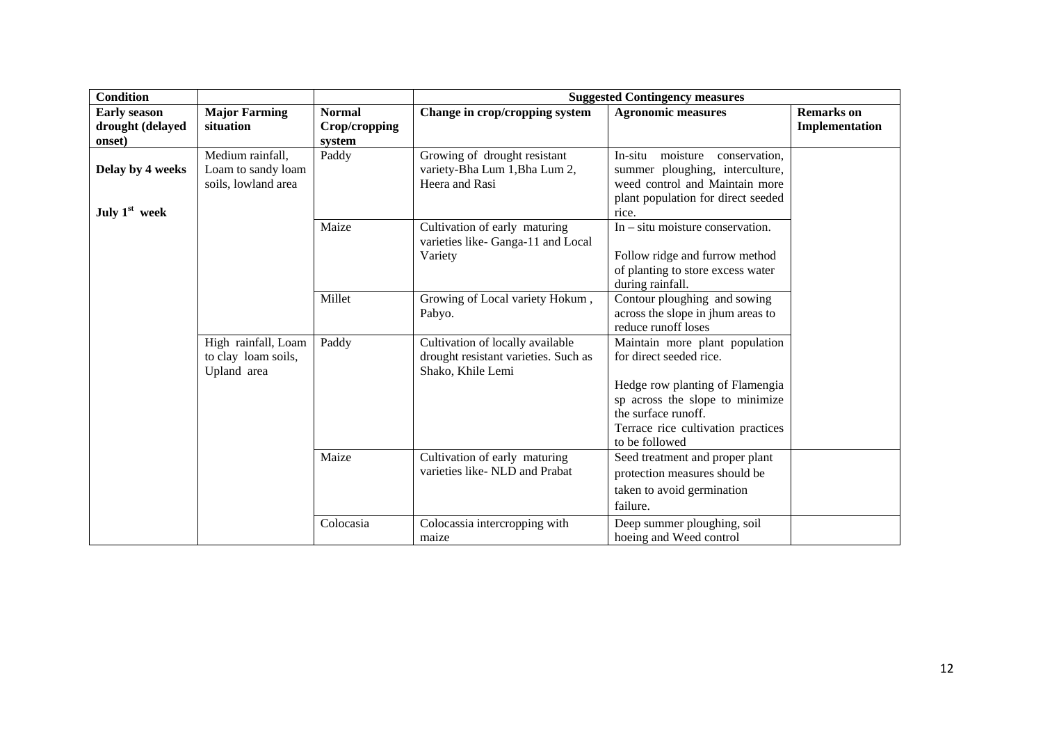| <b>Condition</b>                        |                                                               |                                |                                                                                               | <b>Suggested Contingency measures</b>                                                                                                                 |                                     |
|-----------------------------------------|---------------------------------------------------------------|--------------------------------|-----------------------------------------------------------------------------------------------|-------------------------------------------------------------------------------------------------------------------------------------------------------|-------------------------------------|
| <b>Early season</b><br>drought (delayed | <b>Major Farming</b><br>situation                             | <b>Normal</b><br>Crop/cropping | Change in crop/cropping system                                                                | <b>Agronomic measures</b>                                                                                                                             | <b>Remarks</b> on<br>Implementation |
| onset)                                  |                                                               | system                         |                                                                                               |                                                                                                                                                       |                                     |
| Delay by 4 weeks<br>July $1st$ week     | Medium rainfall,<br>Loam to sandy loam<br>soils, lowland area | Paddy                          | Growing of drought resistant<br>variety-Bha Lum 1, Bha Lum 2,<br>Heera and Rasi               | moisture conservation,<br>In-situ<br>summer ploughing, interculture,<br>weed control and Maintain more<br>plant population for direct seeded<br>rice. |                                     |
|                                         |                                                               | Maize                          | Cultivation of early maturing<br>varieties like-Ganga-11 and Local<br>Variety                 | $In - situ$ moisture conservation.<br>Follow ridge and furrow method<br>of planting to store excess water<br>during rainfall.                         |                                     |
|                                         |                                                               | Millet                         | Growing of Local variety Hokum,<br>Pabyo.                                                     | Contour ploughing and sowing<br>across the slope in jhum areas to<br>reduce runoff loses                                                              |                                     |
|                                         | High rainfall, Loam<br>to clay loam soils,<br>Upland area     | Paddy                          | Cultivation of locally available<br>drought resistant varieties. Such as<br>Shako, Khile Lemi | Maintain more plant population<br>for direct seeded rice.                                                                                             |                                     |
|                                         |                                                               |                                |                                                                                               | Hedge row planting of Flamengia<br>sp across the slope to minimize<br>the surface runoff.<br>Terrace rice cultivation practices<br>to be followed     |                                     |
|                                         |                                                               | Maize                          | Cultivation of early maturing<br>varieties like-NLD and Prabat                                | Seed treatment and proper plant<br>protection measures should be<br>taken to avoid germination<br>failure.                                            |                                     |
|                                         |                                                               | Colocasia                      | Colocassia intercropping with<br>maize                                                        | Deep summer ploughing, soil<br>hoeing and Weed control                                                                                                |                                     |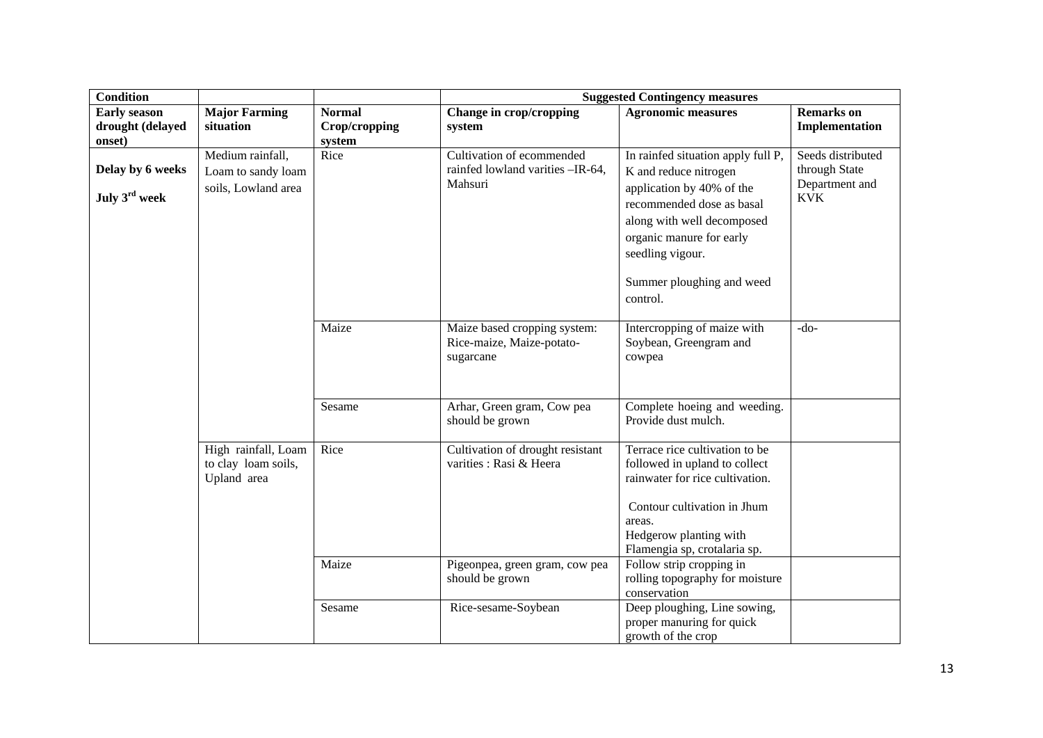| <b>Condition</b>          |                                                           |               |                                                                        | <b>Suggested Contingency measures</b>                                                                                             |                                 |
|---------------------------|-----------------------------------------------------------|---------------|------------------------------------------------------------------------|-----------------------------------------------------------------------------------------------------------------------------------|---------------------------------|
| <b>Early season</b>       | <b>Major Farming</b>                                      | <b>Normal</b> | Change in crop/cropping                                                | <b>Agronomic measures</b>                                                                                                         | <b>Remarks</b> on               |
| drought (delayed          | situation                                                 | Crop/cropping | system                                                                 |                                                                                                                                   | Implementation                  |
| onset)                    |                                                           | system        |                                                                        |                                                                                                                                   |                                 |
|                           | Medium rainfall,                                          | Rice          | Cultivation of ecommended<br>rainfed lowland varities -IR-64,          | In rainfed situation apply full P,                                                                                                | Seeds distributed               |
| Delay by 6 weeks          | Loam to sandy loam                                        |               | Mahsuri                                                                | K and reduce nitrogen                                                                                                             | through State<br>Department and |
| July 3 <sup>rd</sup> week | soils, Lowland area                                       |               |                                                                        | application by 40% of the<br>recommended dose as basal<br>along with well decomposed                                              | <b>KVK</b>                      |
|                           |                                                           |               |                                                                        | organic manure for early<br>seedling vigour.                                                                                      |                                 |
|                           |                                                           |               |                                                                        | Summer ploughing and weed<br>control.                                                                                             |                                 |
|                           |                                                           | Maize         | Maize based cropping system:<br>Rice-maize, Maize-potato-<br>sugarcane | Intercropping of maize with<br>Soybean, Greengram and<br>cowpea                                                                   | $-do-$                          |
|                           |                                                           | Sesame        | Arhar, Green gram, Cow pea<br>should be grown                          | Complete hoeing and weeding.<br>Provide dust mulch.                                                                               |                                 |
|                           | High rainfall, Loam<br>to clay loam soils,<br>Upland area | Rice          | Cultivation of drought resistant<br>varities : Rasi & Heera            | Terrace rice cultivation to be<br>followed in upland to collect<br>rainwater for rice cultivation.<br>Contour cultivation in Jhum |                                 |
|                           |                                                           |               |                                                                        | areas.<br>Hedgerow planting with<br>Flamengia sp, crotalaria sp.                                                                  |                                 |
|                           |                                                           | Maize         | Pigeonpea, green gram, cow pea<br>should be grown                      | Follow strip cropping in<br>rolling topography for moisture<br>conservation                                                       |                                 |
|                           |                                                           | Sesame        | Rice-sesame-Soybean                                                    | Deep ploughing, Line sowing,<br>proper manuring for quick<br>growth of the crop                                                   |                                 |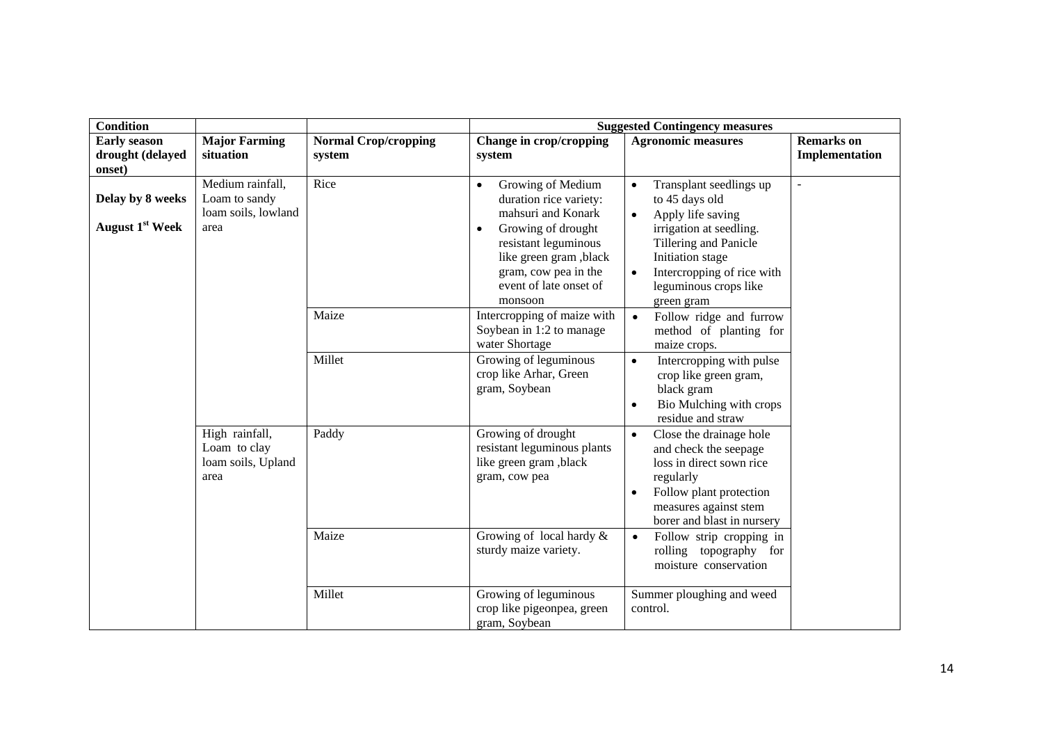| <b>Condition</b>                                  |                                                                  |                                       | <b>Suggested Contingency measures</b>                                                                                                                                                                                            |                                                                                                                                                                                                                                       |                                     |  |
|---------------------------------------------------|------------------------------------------------------------------|---------------------------------------|----------------------------------------------------------------------------------------------------------------------------------------------------------------------------------------------------------------------------------|---------------------------------------------------------------------------------------------------------------------------------------------------------------------------------------------------------------------------------------|-------------------------------------|--|
| <b>Early season</b><br>drought (delayed<br>onset) | <b>Major Farming</b><br>situation                                | <b>Normal Crop/cropping</b><br>system | Change in crop/cropping<br>system                                                                                                                                                                                                | <b>Agronomic measures</b>                                                                                                                                                                                                             | <b>Remarks</b> on<br>Implementation |  |
| Delay by 8 weeks<br>August 1 <sup>st</sup> Week   | Medium rainfall,<br>Loam to sandy<br>loam soils, lowland<br>area | Rice                                  | Growing of Medium<br>$\bullet$<br>duration rice variety:<br>mahsuri and Konark<br>Growing of drought<br>$\bullet$<br>resistant leguminous<br>like green gram, black<br>gram, cow pea in the<br>event of late onset of<br>monsoon | Transplant seedlings up<br>to 45 days old<br>Apply life saving<br>$\bullet$<br>irrigation at seedling.<br>Tillering and Panicle<br>Initiation stage<br>Intercropping of rice with<br>$\bullet$<br>leguminous crops like<br>green gram | $\overline{a}$                      |  |
|                                                   |                                                                  | Maize                                 | Intercropping of maize with<br>Soybean in 1:2 to manage<br>water Shortage                                                                                                                                                        | Follow ridge and furrow<br>$\bullet$<br>method of planting for<br>maize crops.                                                                                                                                                        |                                     |  |
|                                                   |                                                                  | Millet                                | Growing of leguminous<br>crop like Arhar, Green<br>gram, Soybean                                                                                                                                                                 | Intercropping with pulse<br>$\bullet$<br>crop like green gram,<br>black gram<br>Bio Mulching with crops<br>residue and straw                                                                                                          |                                     |  |
|                                                   | High rainfall,<br>Loam to clay<br>loam soils, Upland<br>area     | Paddy                                 | Growing of drought<br>resistant leguminous plants<br>like green gram, black<br>gram, cow pea                                                                                                                                     | Close the drainage hole<br>$\bullet$<br>and check the seepage<br>loss in direct sown rice<br>regularly<br>Follow plant protection<br>measures against stem<br>borer and blast in nursery                                              |                                     |  |
|                                                   |                                                                  | Maize                                 | Growing of local hardy &<br>sturdy maize variety.                                                                                                                                                                                | Follow strip cropping in<br>$\bullet$<br>rolling topography for<br>moisture conservation                                                                                                                                              |                                     |  |
|                                                   |                                                                  | Millet                                | Growing of leguminous<br>crop like pigeonpea, green<br>gram, Soybean                                                                                                                                                             | Summer ploughing and weed<br>control.                                                                                                                                                                                                 |                                     |  |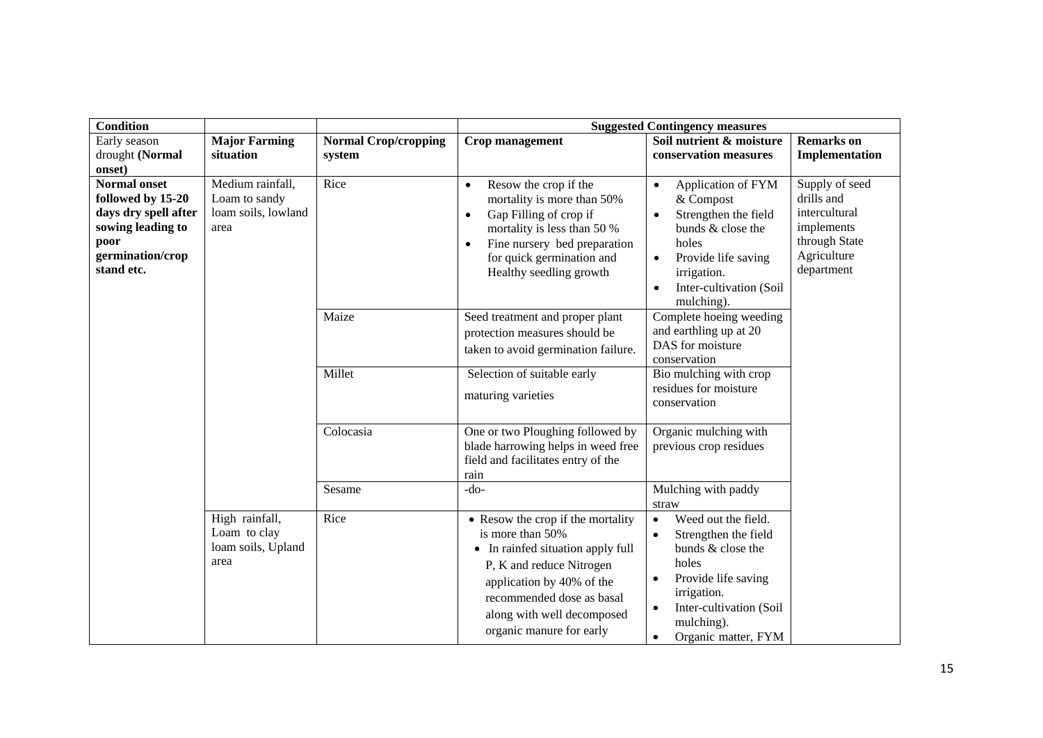| <b>Condition</b>                                                                                                                |                                                                  |                                       |                                                                                                                                                                                                                                             | <b>Suggested Contingency measures</b>                                                                                                                                                                                               |                                                                                                           |
|---------------------------------------------------------------------------------------------------------------------------------|------------------------------------------------------------------|---------------------------------------|---------------------------------------------------------------------------------------------------------------------------------------------------------------------------------------------------------------------------------------------|-------------------------------------------------------------------------------------------------------------------------------------------------------------------------------------------------------------------------------------|-----------------------------------------------------------------------------------------------------------|
| Early season<br>drought (Normal<br>onset)                                                                                       | <b>Major Farming</b><br>situation                                | <b>Normal Crop/cropping</b><br>system | Crop management                                                                                                                                                                                                                             | Soil nutrient & moisture<br>conservation measures                                                                                                                                                                                   | <b>Remarks</b> on<br>Implementation                                                                       |
| <b>Normal onset</b><br>followed by 15-20<br>days dry spell after<br>sowing leading to<br>poor<br>germination/crop<br>stand etc. | Medium rainfall,<br>Loam to sandy<br>loam soils, lowland<br>area | Rice                                  | Resow the crop if the<br>$\bullet$<br>mortality is more than 50%<br>Gap Filling of crop if<br>$\bullet$<br>mortality is less than 50 %<br>Fine nursery bed preparation<br>$\bullet$<br>for quick germination and<br>Healthy seedling growth | Application of FYM<br>$\bullet$<br>& Compost<br>Strengthen the field<br>$\bullet$<br>bunds & close the<br>holes<br>Provide life saving<br>$\bullet$<br>irrigation.<br>Inter-cultivation (Soil<br>$\bullet$<br>mulching).            | Supply of seed<br>drills and<br>intercultural<br>implements<br>through State<br>Agriculture<br>department |
|                                                                                                                                 |                                                                  | Maize                                 | Seed treatment and proper plant<br>protection measures should be<br>taken to avoid germination failure.                                                                                                                                     | Complete hoeing weeding<br>and earthling up at 20<br>DAS for moisture<br>conservation                                                                                                                                               |                                                                                                           |
|                                                                                                                                 |                                                                  | Millet                                | Selection of suitable early<br>maturing varieties                                                                                                                                                                                           | Bio mulching with crop<br>residues for moisture<br>conservation                                                                                                                                                                     |                                                                                                           |
|                                                                                                                                 |                                                                  | Colocasia                             | One or two Ploughing followed by<br>blade harrowing helps in weed free<br>field and facilitates entry of the<br>rain                                                                                                                        | Organic mulching with<br>previous crop residues                                                                                                                                                                                     |                                                                                                           |
|                                                                                                                                 |                                                                  | Sesame                                | $-do-$                                                                                                                                                                                                                                      | Mulching with paddy<br>straw                                                                                                                                                                                                        |                                                                                                           |
|                                                                                                                                 | High rainfall,<br>Loam to clay<br>loam soils, Upland<br>area     | Rice                                  | • Resow the crop if the mortality<br>is more than 50%<br>• In rainfed situation apply full<br>P, K and reduce Nitrogen<br>application by 40% of the<br>recommended dose as basal<br>along with well decomposed<br>organic manure for early  | Weed out the field.<br>$\bullet$<br>Strengthen the field<br>$\bullet$<br>bunds & close the<br>holes<br>Provide life saving<br>irrigation.<br>Inter-cultivation (Soil<br>$\bullet$<br>mulching).<br>Organic matter, FYM<br>$\bullet$ |                                                                                                           |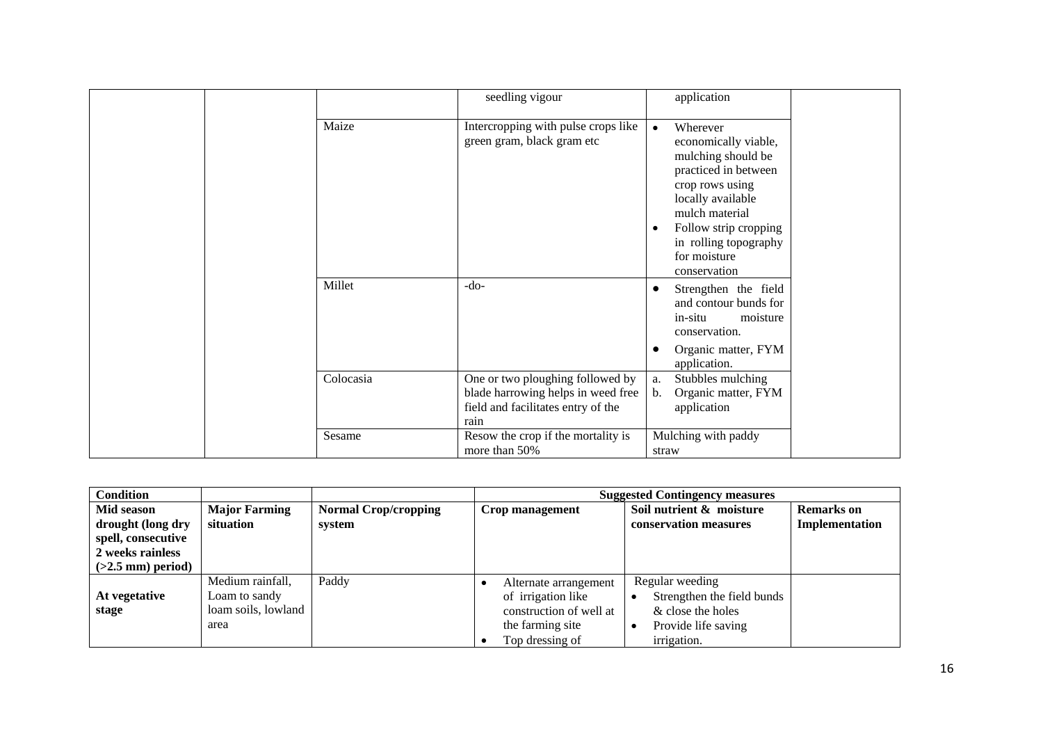|           | seedling vigour                                                                                                      | application                                                                                                                                                                                                                                          |
|-----------|----------------------------------------------------------------------------------------------------------------------|------------------------------------------------------------------------------------------------------------------------------------------------------------------------------------------------------------------------------------------------------|
| Maize     | Intercropping with pulse crops like<br>green gram, black gram etc                                                    | Wherever<br>$\bullet$<br>economically viable,<br>mulching should be<br>practiced in between<br>crop rows using<br>locally available<br>mulch material<br>Follow strip cropping<br>$\bullet$<br>in rolling topography<br>for moisture<br>conservation |
| Millet    | -do-                                                                                                                 | Strengthen the field<br>$\bullet$<br>and contour bunds for<br>in-situ<br>moisture<br>conservation.<br>Organic matter, FYM<br>$\bullet$<br>application.                                                                                               |
| Colocasia | One or two ploughing followed by<br>blade harrowing helps in weed free<br>field and facilitates entry of the<br>rain | Stubbles mulching<br>a.<br>Organic matter, FYM<br>b.<br>application                                                                                                                                                                                  |
| Sesame    | Resow the crop if the mortality is<br>more than 50%                                                                  | Mulching with paddy<br>straw                                                                                                                                                                                                                         |

| Condition                       |                                   |                                       |                         | <b>Suggested Contingency measures</b>             |                                     |
|---------------------------------|-----------------------------------|---------------------------------------|-------------------------|---------------------------------------------------|-------------------------------------|
| Mid season<br>drought (long dry | <b>Major Farming</b><br>situation | <b>Normal Crop/cropping</b><br>system | Crop management         | Soil nutrient & moisture<br>conservation measures | <b>Remarks</b> on<br>Implementation |
| spell, consecutive              |                                   |                                       |                         |                                                   |                                     |
| 2 weeks rainless                |                                   |                                       |                         |                                                   |                                     |
| $(>2.5$ mm) period)             |                                   |                                       |                         |                                                   |                                     |
|                                 | Medium rainfall,                  | Paddy                                 | Alternate arrangement   | Regular weeding                                   |                                     |
| At vegetative                   | Loam to sandy                     |                                       | of irrigation like      | Strengthen the field bunds                        |                                     |
| stage                           | loam soils, lowland               |                                       | construction of well at | & close the holes                                 |                                     |
|                                 | area                              |                                       | the farming site        | Provide life saving                               |                                     |
|                                 |                                   |                                       | Top dressing of         | irrigation.                                       |                                     |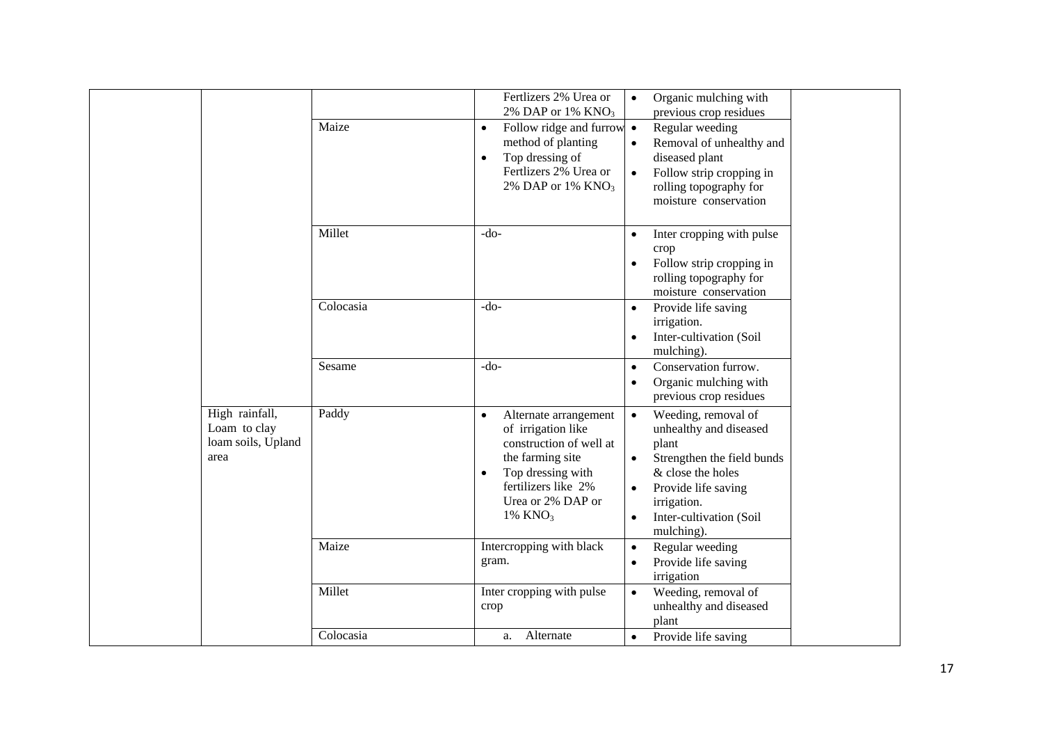|                                                              | Maize     | Fertlizers 2% Urea or<br>2% DAP or 1% $KNO3$<br>Follow ridge and furrow $\bullet$<br>$\bullet$<br>method of planting<br>Top dressing of<br>$\bullet$<br>Fertlizers 2% Urea or<br>2% DAP or 1% $KNO3$ | Organic mulching with<br>previous crop residues<br>Regular weeding<br>Removal of unhealthy and<br>$\bullet$<br>diseased plant<br>Follow strip cropping in<br>$\bullet$<br>rolling topography for<br>moisture conservation                    |
|--------------------------------------------------------------|-----------|------------------------------------------------------------------------------------------------------------------------------------------------------------------------------------------------------|----------------------------------------------------------------------------------------------------------------------------------------------------------------------------------------------------------------------------------------------|
|                                                              | Millet    | $-do-$                                                                                                                                                                                               | Inter cropping with pulse<br>$\bullet$<br>crop<br>Follow strip cropping in<br>$\bullet$<br>rolling topography for<br>moisture conservation                                                                                                   |
|                                                              | Colocasia | $-do-$                                                                                                                                                                                               | Provide life saving<br>$\bullet$<br>irrigation.<br>Inter-cultivation (Soil<br>$\bullet$<br>mulching).                                                                                                                                        |
|                                                              | Sesame    | $-do-$                                                                                                                                                                                               | Conservation furrow.<br>$\bullet$<br>Organic mulching with<br>$\bullet$<br>previous crop residues                                                                                                                                            |
| High rainfall,<br>Loam to clay<br>loam soils, Upland<br>area | Paddy     | Alternate arrangement<br>$\bullet$<br>of irrigation like<br>construction of well at<br>the farming site<br>Top dressing with<br>$\bullet$<br>fertilizers like 2%<br>Urea or 2% DAP or<br>1% $KNO3$   | Weeding, removal of<br>$\bullet$<br>unhealthy and diseased<br>plant<br>$\bullet$<br>Strengthen the field bunds<br>& close the holes<br>Provide life saving<br>$\bullet$<br>irrigation.<br>Inter-cultivation (Soil<br>$\bullet$<br>mulching). |
|                                                              | Maize     | Intercropping with black<br>gram.                                                                                                                                                                    | Regular weeding<br>$\bullet$<br>Provide life saving<br>$\bullet$<br>irrigation                                                                                                                                                               |
|                                                              | Millet    | Inter cropping with pulse<br>crop                                                                                                                                                                    | Weeding, removal of<br>$\bullet$<br>unhealthy and diseased<br>plant                                                                                                                                                                          |
|                                                              | Colocasia | Alternate<br>a.                                                                                                                                                                                      | Provide life saving<br>$\bullet$                                                                                                                                                                                                             |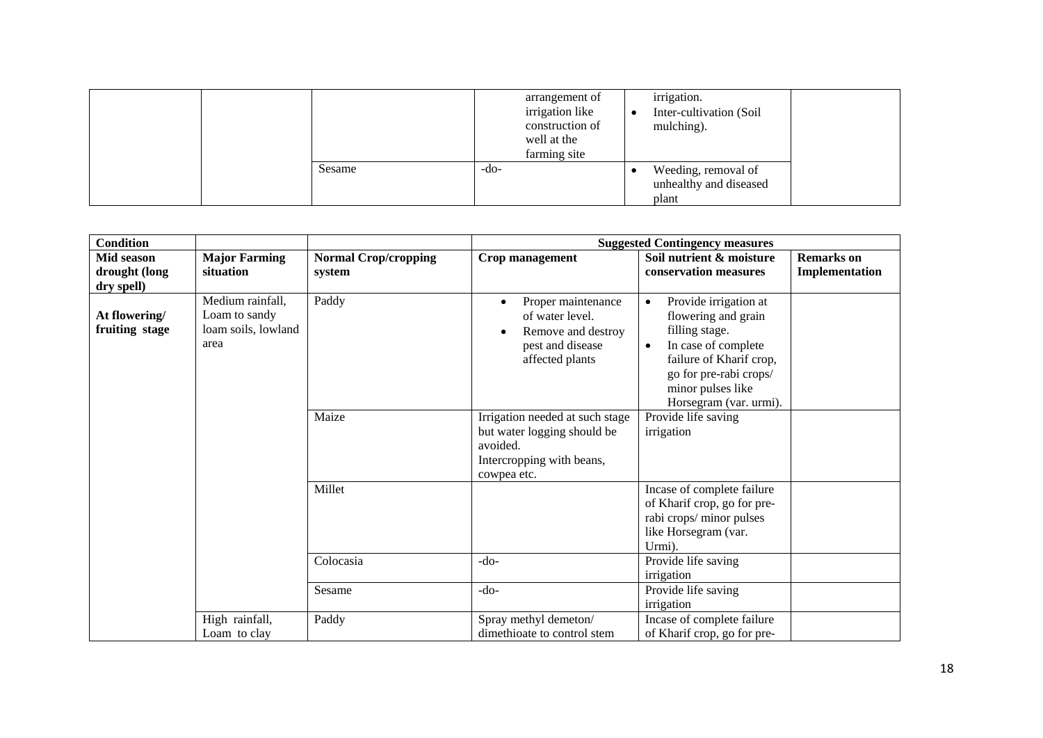|  |        |        | arrangement of<br>irrigation like<br>construction of<br>well at the<br>farming site | irrigation.<br>Inter-cultivation (Soil<br>mulching).   |  |
|--|--------|--------|-------------------------------------------------------------------------------------|--------------------------------------------------------|--|
|  | Sesame | $-do-$ |                                                                                     | Weeding, removal of<br>unhealthy and diseased<br>plant |  |

| <b>Condition</b>                          |                                                                  |                                       | <b>Suggested Contingency measures</b>                                                                                  |                                                                                                                                                                                                                     |                                     |
|-------------------------------------------|------------------------------------------------------------------|---------------------------------------|------------------------------------------------------------------------------------------------------------------------|---------------------------------------------------------------------------------------------------------------------------------------------------------------------------------------------------------------------|-------------------------------------|
| Mid season<br>drought (long<br>dry spell) | <b>Major Farming</b><br>situation                                | <b>Normal Crop/cropping</b><br>system | Crop management                                                                                                        | Soil nutrient & moisture<br>conservation measures                                                                                                                                                                   | <b>Remarks</b> on<br>Implementation |
| At flowering/<br>fruiting stage           | Medium rainfall,<br>Loam to sandy<br>loam soils, lowland<br>area | Paddy                                 | Proper maintenance<br>of water level.<br>Remove and destroy<br>pest and disease<br>affected plants                     | Provide irrigation at<br>$\bullet$<br>flowering and grain<br>filling stage.<br>In case of complete<br>$\bullet$<br>failure of Kharif crop,<br>go for pre-rabi crops/<br>minor pulses like<br>Horsegram (var. urmi). |                                     |
|                                           |                                                                  | Maize                                 | Irrigation needed at such stage<br>but water logging should be<br>avoided.<br>Intercropping with beans,<br>cowpea etc. | Provide life saving<br>irrigation                                                                                                                                                                                   |                                     |
|                                           |                                                                  | Millet                                |                                                                                                                        | Incase of complete failure<br>of Kharif crop, go for pre-<br>rabi crops/minor pulses<br>like Horsegram (var.<br>Urmi).                                                                                              |                                     |
|                                           |                                                                  | Colocasia                             | $-do-$                                                                                                                 | Provide life saving<br>irrigation                                                                                                                                                                                   |                                     |
|                                           |                                                                  | Sesame                                | $-do-$                                                                                                                 | Provide life saving<br>irrigation                                                                                                                                                                                   |                                     |
|                                           | High rainfall,<br>Loam to clay                                   | Paddy                                 | Spray methyl demeton/<br>dimethioate to control stem                                                                   | Incase of complete failure<br>of Kharif crop, go for pre-                                                                                                                                                           |                                     |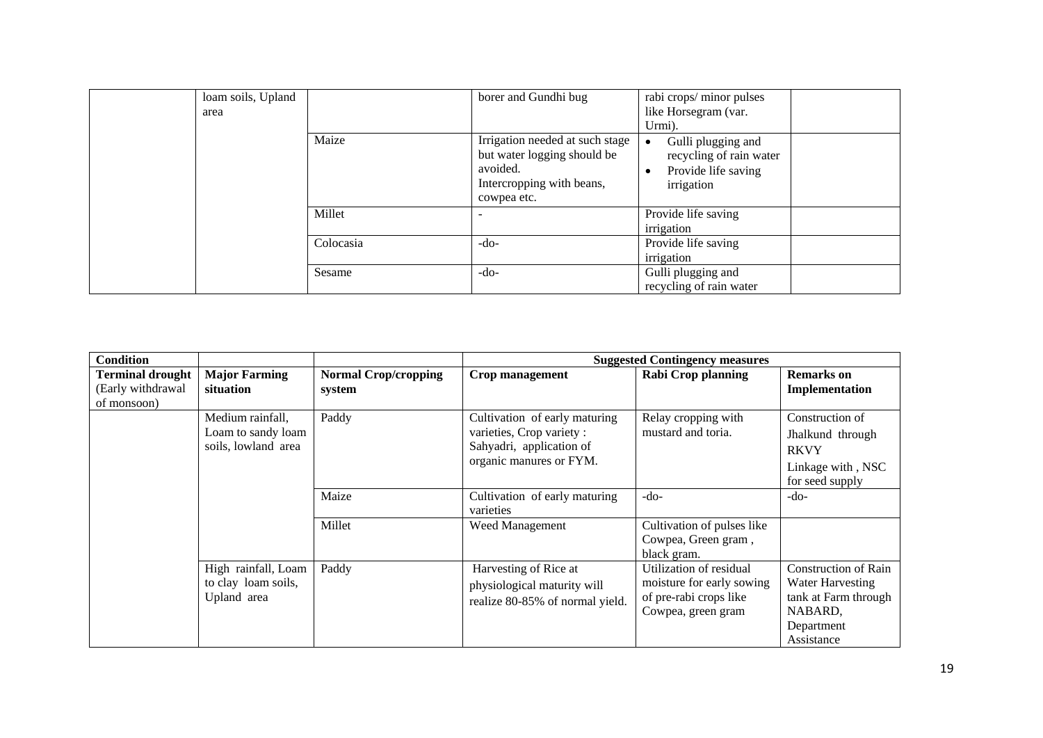| loam soils, Upland<br>area |           | borer and Gundhi bug                                                                                                   | rabi crops/minor pulses<br>like Horsegram (var.<br>Urmi).                          |
|----------------------------|-----------|------------------------------------------------------------------------------------------------------------------------|------------------------------------------------------------------------------------|
|                            | Maize     | Irrigation needed at such stage<br>but water logging should be<br>avoided.<br>Intercropping with beans,<br>cowpea etc. | Gulli plugging and<br>recycling of rain water<br>Provide life saving<br>irrigation |
|                            | Millet    |                                                                                                                        | Provide life saving<br>irrigation                                                  |
|                            | Colocasia | $-do-$                                                                                                                 | Provide life saving<br>irrigation                                                  |
|                            | Sesame    | $-do-$                                                                                                                 | Gulli plugging and<br>recycling of rain water                                      |

| <b>Condition</b>                                            |                                                               |                                       |                                                                                                                   | <b>Suggested Contingency measures</b>                                                                |                                                                                                                |
|-------------------------------------------------------------|---------------------------------------------------------------|---------------------------------------|-------------------------------------------------------------------------------------------------------------------|------------------------------------------------------------------------------------------------------|----------------------------------------------------------------------------------------------------------------|
| <b>Terminal drought</b><br>(Early withdrawal<br>of monsoon) | <b>Major Farming</b><br>situation                             | <b>Normal Crop/cropping</b><br>system | Crop management                                                                                                   | <b>Rabi Crop planning</b>                                                                            | <b>Remarks</b> on<br>Implementation                                                                            |
|                                                             | Medium rainfall,<br>Loam to sandy loam<br>soils, lowland area | Paddy                                 | Cultivation of early maturing<br>varieties, Crop variety :<br>Sahyadri, application of<br>organic manures or FYM. | Relay cropping with<br>mustard and toria.                                                            | Construction of<br>Jhalkund through<br><b>RKVY</b><br>Linkage with, NSC<br>for seed supply                     |
|                                                             |                                                               | Maize                                 | Cultivation of early maturing<br>varieties                                                                        | $-do-$                                                                                               | $-do-$                                                                                                         |
|                                                             |                                                               | Millet                                | Weed Management                                                                                                   | Cultivation of pulses like<br>Cowpea, Green gram,<br>black gram.                                     |                                                                                                                |
|                                                             | High rainfall, Loam<br>to clay loam soils,<br>Upland area     | Paddy                                 | Harvesting of Rice at<br>physiological maturity will<br>realize 80-85% of normal yield.                           | Utilization of residual<br>moisture for early sowing<br>of pre-rabi crops like<br>Cowpea, green gram | <b>Construction of Rain</b><br>Water Harvesting<br>tank at Farm through<br>NABARD,<br>Department<br>Assistance |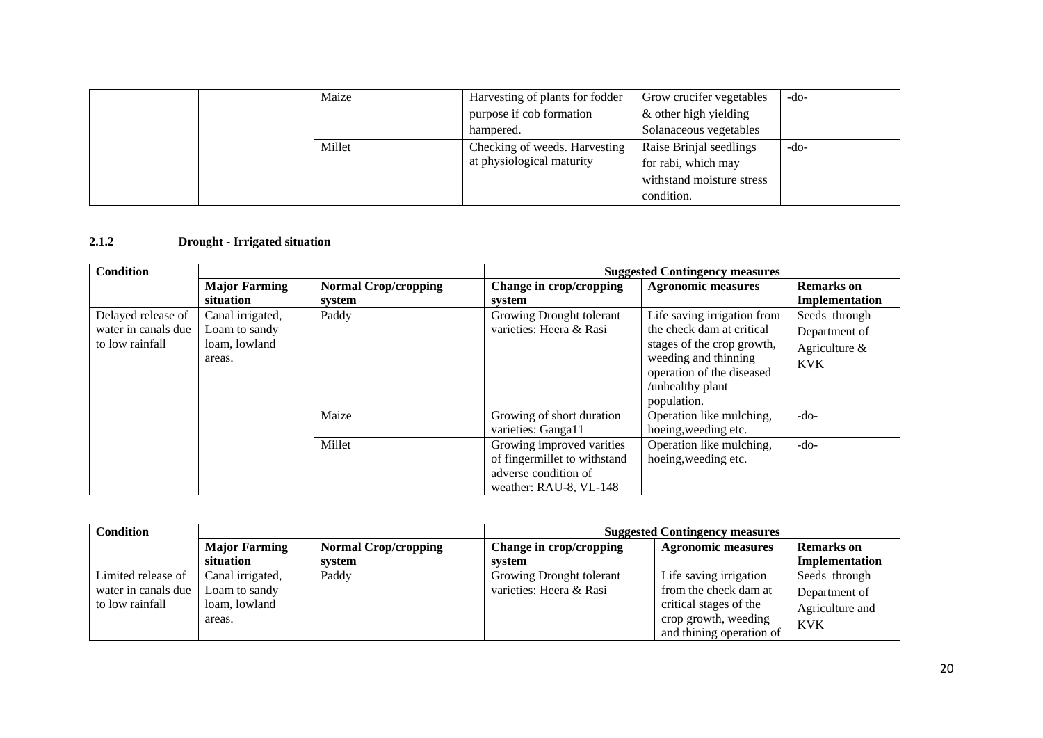|  | Maize  | Harvesting of plants for fodder | Grow crucifer vegetables  | -do-   |
|--|--------|---------------------------------|---------------------------|--------|
|  |        | purpose if cob formation        | & other high yielding     |        |
|  |        | hampered.                       | Solanaceous vegetables    |        |
|  | Millet | Checking of weeds. Harvesting   | Raise Brinjal seedlings   | $-do-$ |
|  |        | at physiological maturity       | for rabi, which may       |        |
|  |        |                                 | withstand moisture stress |        |
|  |        |                                 | condition.                |        |

#### **2.1.2 Drought - Irrigated situation**

| <b>Condition</b>    |                      |                             | <b>Suggested Contingency measures</b> |                             |                   |
|---------------------|----------------------|-----------------------------|---------------------------------------|-----------------------------|-------------------|
|                     | <b>Major Farming</b> | <b>Normal Crop/cropping</b> | Change in crop/cropping               | <b>Agronomic measures</b>   | <b>Remarks</b> on |
|                     | situation            | system                      | system                                |                             | Implementation    |
| Delayed release of  | Canal irrigated,     | Paddy                       | Growing Drought tolerant              | Life saving irrigation from | Seeds through     |
| water in canals due | Loam to sandy        |                             | varieties: Heera & Rasi               | the check dam at critical   | Department of     |
| to low rainfall     | loam, lowland        |                             |                                       | stages of the crop growth,  | Agriculture $\&$  |
|                     | areas.               |                             |                                       | weeding and thinning        | <b>KVK</b>        |
|                     |                      |                             |                                       | operation of the diseased   |                   |
|                     |                      |                             |                                       | /unhealthy plant            |                   |
|                     |                      |                             |                                       | population.                 |                   |
|                     |                      | Maize                       | Growing of short duration             | Operation like mulching,    | $-do-$            |
|                     |                      |                             | varieties: Ganga11                    | hoeing, weeding etc.        |                   |
|                     |                      | Millet                      | Growing improved varities             | Operation like mulching,    | $-do-$            |
|                     |                      |                             | of fingermillet to withstand          | hoeing, weeding etc.        |                   |
|                     |                      |                             | adverse condition of                  |                             |                   |
|                     |                      |                             | weather: RAU-8, VL-148                |                             |                   |

| Condition           |                      |                             | <b>Suggested Contingency measures</b> |                           |                   |
|---------------------|----------------------|-----------------------------|---------------------------------------|---------------------------|-------------------|
|                     | <b>Major Farming</b> | <b>Normal Crop/cropping</b> | Change in crop/cropping               | <b>Agronomic measures</b> | <b>Remarks</b> on |
|                     | situation            | system                      | svstem                                |                           | Implementation    |
| Limited release of  | Canal irrigated,     | Paddy                       | Growing Drought tolerant              | Life saving irrigation    | Seeds through     |
| water in canals due | Loam to sandy        |                             | varieties: Heera & Rasi               | from the check dam at     | Department of     |
| to low rainfall     | loam, lowland        |                             |                                       | critical stages of the    | Agriculture and   |
|                     | areas.               |                             |                                       | crop growth, weeding      | <b>KVK</b>        |
|                     |                      |                             |                                       | and thining operation of  |                   |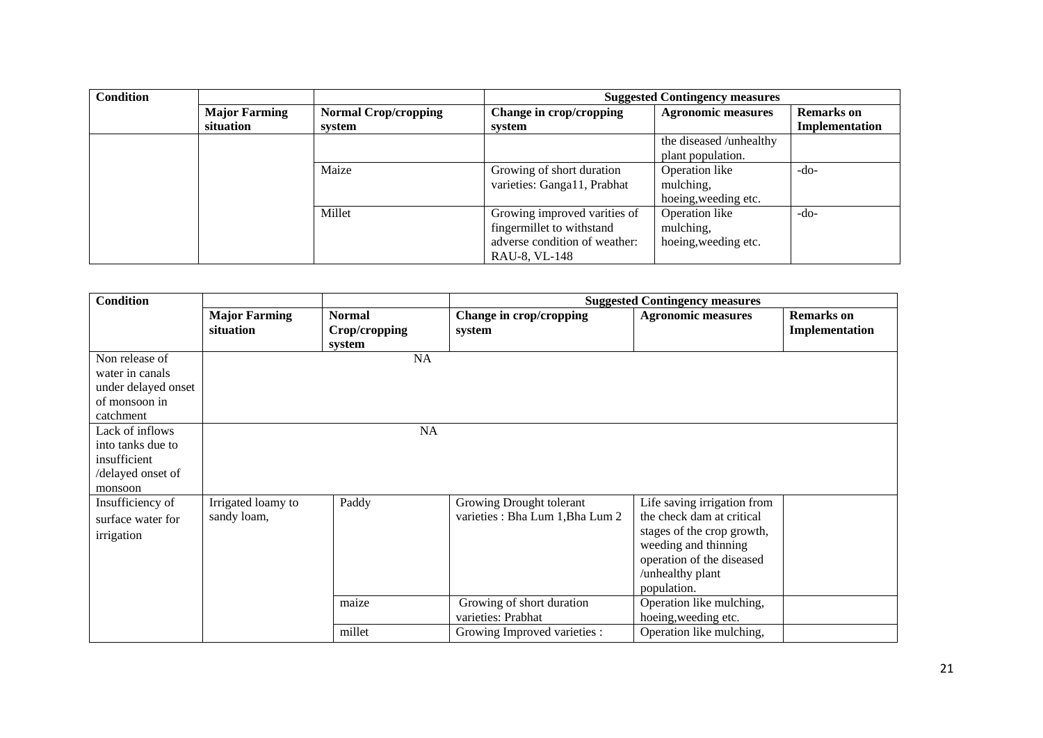| <b>Condition</b> |                      |                             | <b>Suggested Contingency measures</b> |                           |                   |
|------------------|----------------------|-----------------------------|---------------------------------------|---------------------------|-------------------|
|                  | <b>Major Farming</b> | <b>Normal Crop/cropping</b> | Change in crop/cropping               | <b>Agronomic measures</b> | <b>Remarks</b> on |
|                  | situation            | system                      | system                                |                           | Implementation    |
|                  |                      |                             |                                       | the diseased /unhealthy   |                   |
|                  |                      |                             |                                       | plant population.         |                   |
|                  |                      | Maize                       | Growing of short duration             | Operation like            | $-do-$            |
|                  |                      |                             | varieties: Ganga11, Prabhat           | mulching,                 |                   |
|                  |                      |                             |                                       | hoeing, weeding etc.      |                   |
|                  |                      | Millet                      | Growing improved varities of          | Operation like            | $-do-$            |
|                  |                      |                             | fingermillet to withstand             | mulching,                 |                   |
|                  |                      |                             | adverse condition of weather:         | hoeing, weeding etc.      |                   |
|                  |                      |                             | RAU-8, VL-148                         |                           |                   |

| <b>Condition</b>                                                                                                                                                               |                                   |                                          |                                                              | <b>Suggested Contingency measures</b>                                                                                                                                          |                                     |
|--------------------------------------------------------------------------------------------------------------------------------------------------------------------------------|-----------------------------------|------------------------------------------|--------------------------------------------------------------|--------------------------------------------------------------------------------------------------------------------------------------------------------------------------------|-------------------------------------|
|                                                                                                                                                                                | <b>Major Farming</b><br>situation | <b>Normal</b><br>Crop/cropping<br>system | Change in crop/cropping<br>system                            | <b>Agronomic measures</b>                                                                                                                                                      | <b>Remarks</b> on<br>Implementation |
| Non release of<br>water in canals<br>under delayed onset<br>of monsoon in<br>catchment<br>Lack of inflows<br>into tanks due to<br>insufficient<br>/delayed onset of<br>monsoon |                                   | NA<br>NA                                 |                                                              |                                                                                                                                                                                |                                     |
| Insufficiency of<br>surface water for<br>irrigation                                                                                                                            | Irrigated loamy to<br>sandy loam, | Paddy                                    | Growing Drought tolerant<br>varieties : Bha Lum 1, Bha Lum 2 | Life saving irrigation from<br>the check dam at critical<br>stages of the crop growth,<br>weeding and thinning<br>operation of the diseased<br>/unhealthy plant<br>population. |                                     |
|                                                                                                                                                                                |                                   | maize                                    | Growing of short duration<br>varieties: Prabhat              | Operation like mulching,<br>hoeing, weeding etc.                                                                                                                               |                                     |
|                                                                                                                                                                                |                                   | millet                                   | Growing Improved varieties :                                 | Operation like mulching,                                                                                                                                                       |                                     |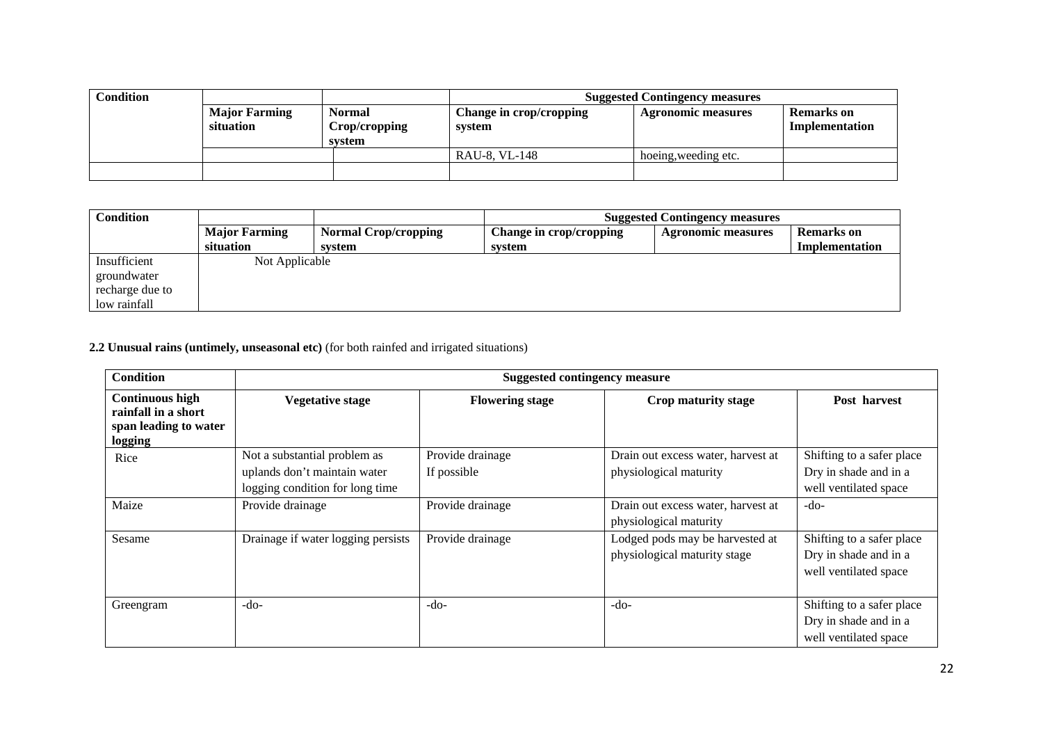| Condition |                                   |                                          | <b>Suggested Contingency measures</b> |                           |                                     |
|-----------|-----------------------------------|------------------------------------------|---------------------------------------|---------------------------|-------------------------------------|
|           | <b>Major Farming</b><br>situation | <b>Normal</b><br>Crop/cropping<br>system | Change in crop/cropping<br>system     | <b>Agronomic measures</b> | <b>Remarks</b> on<br>Implementation |
|           |                                   |                                          | RAU-8, VL-148                         | hoeing, weeding etc.      |                                     |
|           |                                   |                                          |                                       |                           |                                     |

| <b>Condition</b> |                      |                             | <b>Suggested Contingency measures</b> |                           |                   |
|------------------|----------------------|-----------------------------|---------------------------------------|---------------------------|-------------------|
|                  | <b>Major Farming</b> | <b>Normal Crop/cropping</b> | Change in crop/cropping               | <b>Agronomic measures</b> | <b>Remarks</b> on |
|                  | situation            | svstem                      | svstem                                |                           | Implementation    |
| Insufficient     | Not Applicable       |                             |                                       |                           |                   |
| groundwater      |                      |                             |                                       |                           |                   |
| recharge due to  |                      |                             |                                       |                           |                   |
| low rainfall     |                      |                             |                                       |                           |                   |

# **2.2 Unusual rains (untimely, unseasonal etc)** (for both rainfed and irrigated situations)

| <b>Condition</b>                                                                  |                                                                                                 | <b>Suggested contingency measure</b> |                                                                 |                                                                             |  |  |  |
|-----------------------------------------------------------------------------------|-------------------------------------------------------------------------------------------------|--------------------------------------|-----------------------------------------------------------------|-----------------------------------------------------------------------------|--|--|--|
| <b>Continuous high</b><br>rainfall in a short<br>span leading to water<br>logging | <b>Vegetative stage</b>                                                                         | <b>Flowering stage</b>               | Crop maturity stage                                             | Post harvest                                                                |  |  |  |
| Rice                                                                              | Not a substantial problem as<br>uplands don't maintain water<br>logging condition for long time | Provide drainage<br>If possible      | Drain out excess water, harvest at<br>physiological maturity    | Shifting to a safer place<br>Dry in shade and in a<br>well ventilated space |  |  |  |
| Maize                                                                             | Provide drainage                                                                                | Provide drainage                     | Drain out excess water, harvest at<br>physiological maturity    | $-do-$                                                                      |  |  |  |
| Sesame                                                                            | Drainage if water logging persists                                                              | Provide drainage                     | Lodged pods may be harvested at<br>physiological maturity stage | Shifting to a safer place<br>Dry in shade and in a<br>well ventilated space |  |  |  |
| Greengram                                                                         | $-do-$                                                                                          | $-do-$                               | $-do-$                                                          | Shifting to a safer place<br>Dry in shade and in a<br>well ventilated space |  |  |  |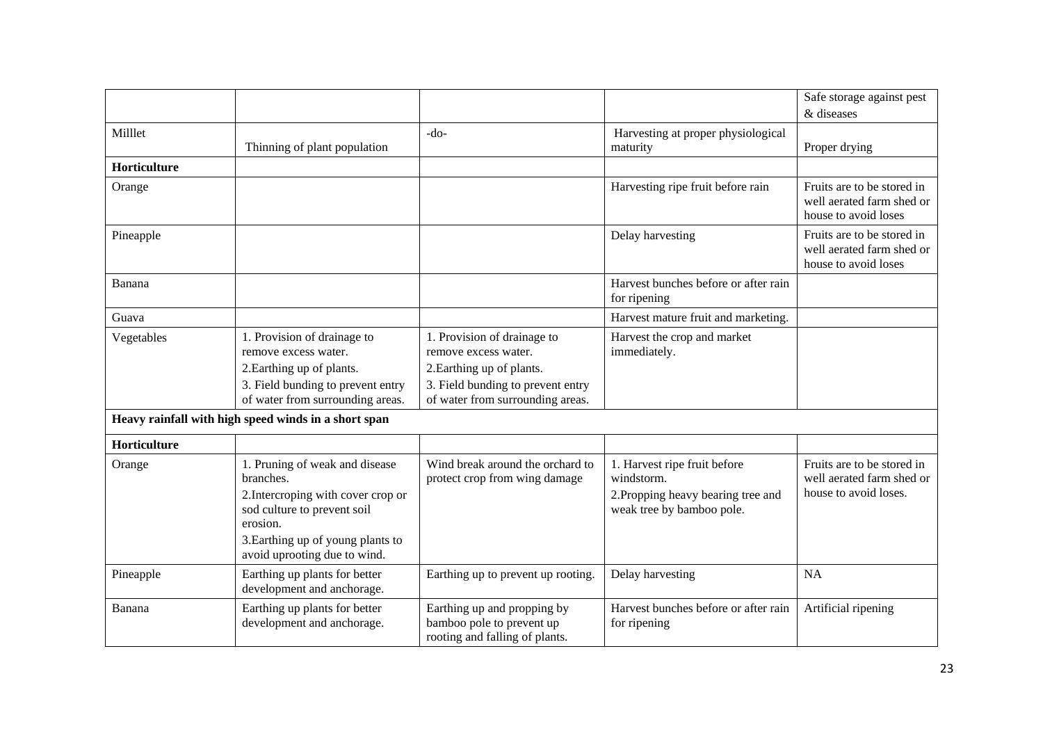|              |                                                                                                                                                                                                   |                                                                                                                                                           |                                                                                                               | Safe storage against pest                                                        |
|--------------|---------------------------------------------------------------------------------------------------------------------------------------------------------------------------------------------------|-----------------------------------------------------------------------------------------------------------------------------------------------------------|---------------------------------------------------------------------------------------------------------------|----------------------------------------------------------------------------------|
|              |                                                                                                                                                                                                   |                                                                                                                                                           |                                                                                                               | & diseases                                                                       |
| Milllet      | Thinning of plant population                                                                                                                                                                      | $-do-$                                                                                                                                                    | Harvesting at proper physiological<br>maturity                                                                | Proper drying                                                                    |
| Horticulture |                                                                                                                                                                                                   |                                                                                                                                                           |                                                                                                               |                                                                                  |
| Orange       |                                                                                                                                                                                                   |                                                                                                                                                           | Harvesting ripe fruit before rain                                                                             | Fruits are to be stored in<br>well aerated farm shed or<br>house to avoid loses  |
| Pineapple    |                                                                                                                                                                                                   |                                                                                                                                                           | Delay harvesting                                                                                              | Fruits are to be stored in<br>well aerated farm shed or<br>house to avoid loses  |
| Banana       |                                                                                                                                                                                                   |                                                                                                                                                           | Harvest bunches before or after rain<br>for ripening                                                          |                                                                                  |
| Guava        |                                                                                                                                                                                                   |                                                                                                                                                           | Harvest mature fruit and marketing.                                                                           |                                                                                  |
| Vegetables   | 1. Provision of drainage to<br>remove excess water.<br>2. Earthing up of plants.<br>3. Field bunding to prevent entry<br>of water from surrounding areas.                                         | 1. Provision of drainage to<br>remove excess water.<br>2. Earthing up of plants.<br>3. Field bunding to prevent entry<br>of water from surrounding areas. | Harvest the crop and market<br>immediately.                                                                   |                                                                                  |
|              | Heavy rainfall with high speed winds in a short span                                                                                                                                              |                                                                                                                                                           |                                                                                                               |                                                                                  |
| Horticulture |                                                                                                                                                                                                   |                                                                                                                                                           |                                                                                                               |                                                                                  |
| Orange       | 1. Pruning of weak and disease<br>branches.<br>2. Intercroping with cover crop or<br>sod culture to prevent soil<br>erosion.<br>3. Earthing up of young plants to<br>avoid uprooting due to wind. | Wind break around the orchard to<br>protect crop from wing damage                                                                                         | 1. Harvest ripe fruit before<br>windstorm.<br>2. Propping heavy bearing tree and<br>weak tree by bamboo pole. | Fruits are to be stored in<br>well aerated farm shed or<br>house to avoid loses. |
| Pineapple    | Earthing up plants for better<br>development and anchorage.                                                                                                                                       | Earthing up to prevent up rooting.                                                                                                                        | Delay harvesting                                                                                              | <b>NA</b>                                                                        |
| Banana       | Earthing up plants for better<br>development and anchorage.                                                                                                                                       | Earthing up and propping by<br>bamboo pole to prevent up<br>rooting and falling of plants.                                                                | Harvest bunches before or after rain<br>for ripening                                                          | Artificial ripening                                                              |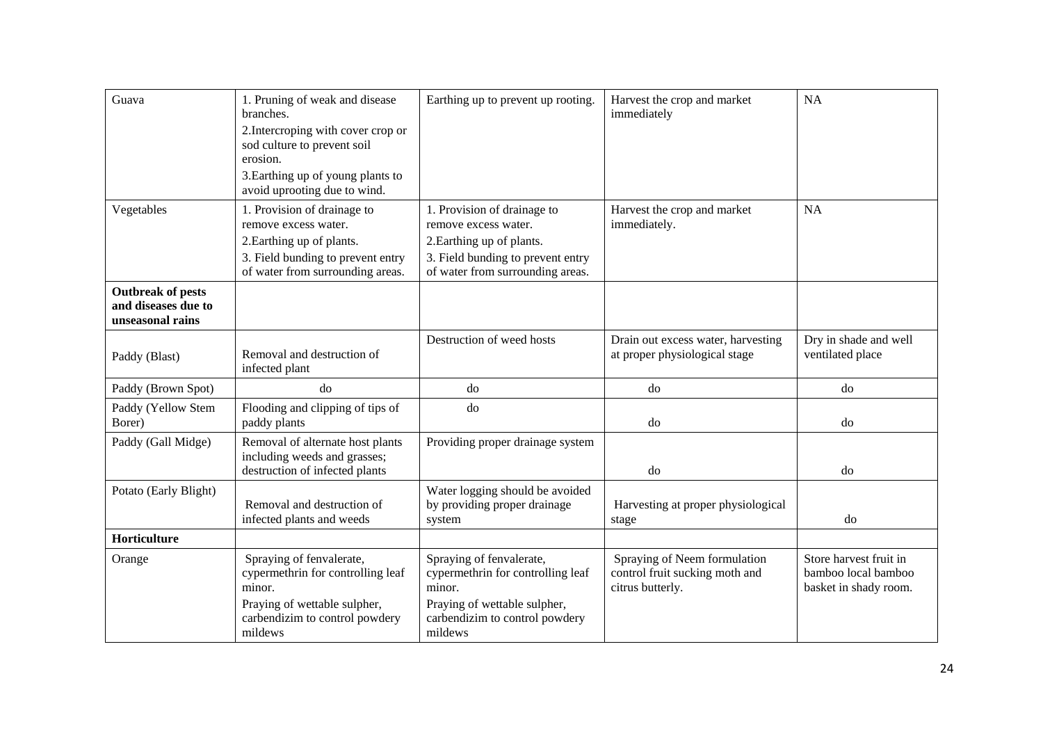| Guava                                                               | 1. Pruning of weak and disease<br>branches.<br>2. Intercroping with cover crop or<br>sod culture to prevent soil<br>erosion.<br>3. Earthing up of young plants to<br>avoid uprooting due to wind. | Earthing up to prevent up rooting.                                                                                                                        | Harvest the crop and market<br>immediately                                         | <b>NA</b>                                                              |
|---------------------------------------------------------------------|---------------------------------------------------------------------------------------------------------------------------------------------------------------------------------------------------|-----------------------------------------------------------------------------------------------------------------------------------------------------------|------------------------------------------------------------------------------------|------------------------------------------------------------------------|
| Vegetables                                                          | 1. Provision of drainage to<br>remove excess water.<br>2. Earthing up of plants.<br>3. Field bunding to prevent entry<br>of water from surrounding areas.                                         | 1. Provision of drainage to<br>remove excess water.<br>2. Earthing up of plants.<br>3. Field bunding to prevent entry<br>of water from surrounding areas. | Harvest the crop and market<br>immediately.                                        | <b>NA</b>                                                              |
| <b>Outbreak of pests</b><br>and diseases due to<br>unseasonal rains |                                                                                                                                                                                                   |                                                                                                                                                           |                                                                                    |                                                                        |
| Paddy (Blast)                                                       | Removal and destruction of<br>infected plant                                                                                                                                                      | Destruction of weed hosts                                                                                                                                 | Drain out excess water, harvesting<br>at proper physiological stage                | Dry in shade and well<br>ventilated place                              |
| Paddy (Brown Spot)                                                  | do                                                                                                                                                                                                | d <sub>o</sub>                                                                                                                                            | do                                                                                 | do                                                                     |
| Paddy (Yellow Stem<br>Borer)                                        | Flooding and clipping of tips of<br>paddy plants                                                                                                                                                  | do                                                                                                                                                        | do                                                                                 | do                                                                     |
| Paddy (Gall Midge)                                                  | Removal of alternate host plants<br>including weeds and grasses;<br>destruction of infected plants                                                                                                | Providing proper drainage system                                                                                                                          | do                                                                                 | do                                                                     |
| Potato (Early Blight)                                               | Removal and destruction of<br>infected plants and weeds                                                                                                                                           | Water logging should be avoided<br>by providing proper drainage<br>system                                                                                 | Harvesting at proper physiological<br>stage                                        | do                                                                     |
| Horticulture                                                        |                                                                                                                                                                                                   |                                                                                                                                                           |                                                                                    |                                                                        |
| Orange                                                              | Spraying of fenvalerate,<br>cypermethrin for controlling leaf<br>minor.<br>Praying of wettable sulpher,<br>carbendizim to control powdery<br>mildews                                              | Spraying of fenvalerate,<br>cypermethrin for controlling leaf<br>minor.<br>Praying of wettable sulpher,<br>carbendizim to control powdery<br>mildews      | Spraying of Neem formulation<br>control fruit sucking moth and<br>citrus butterly. | Store harvest fruit in<br>bamboo local bamboo<br>basket in shady room. |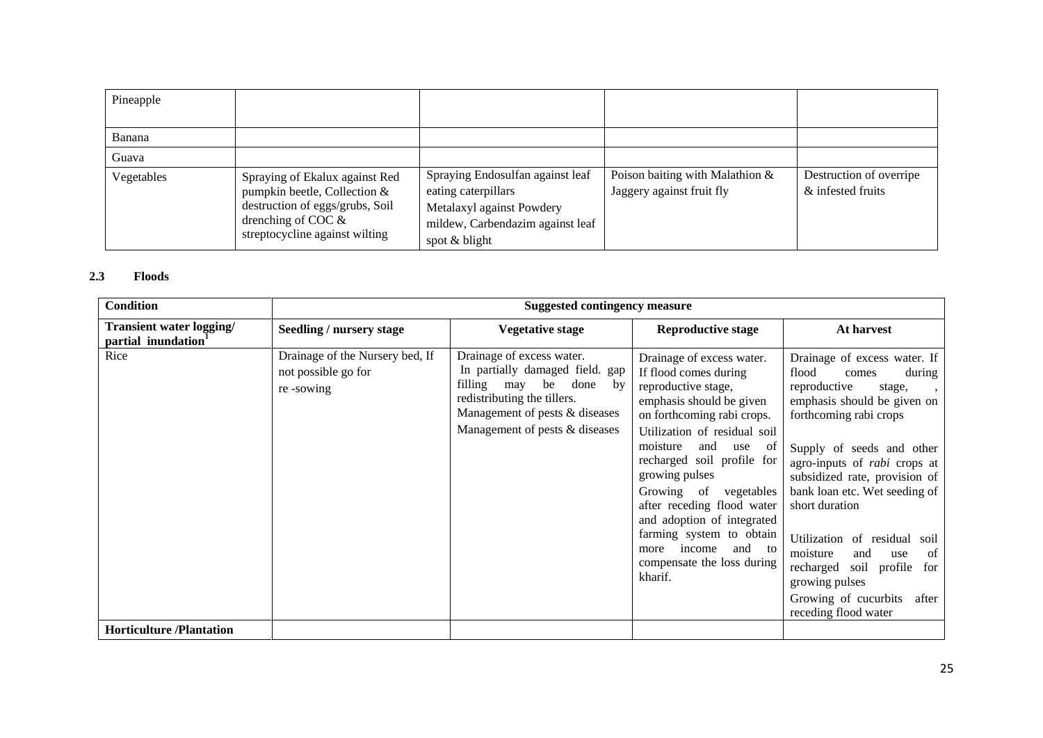| Pineapple  |                                                                                                                                                                |                                                                                                                                           |                                                              |                                              |
|------------|----------------------------------------------------------------------------------------------------------------------------------------------------------------|-------------------------------------------------------------------------------------------------------------------------------------------|--------------------------------------------------------------|----------------------------------------------|
| Banana     |                                                                                                                                                                |                                                                                                                                           |                                                              |                                              |
| Guava      |                                                                                                                                                                |                                                                                                                                           |                                                              |                                              |
| Vegetables | Spraying of Ekalux against Red<br>pumpkin beetle, Collection $&$<br>destruction of eggs/grubs, Soil<br>drenching of COC $\&$<br>streptocycline against wilting | Spraying Endosulfan against leaf<br>eating caterpillars<br>Metalaxyl against Powdery<br>mildew, Carbendazim against leaf<br>spot & blight | Poison baiting with Malathion &<br>Jaggery against fruit fly | Destruction of overripe<br>& infested fruits |

#### **2.3 Floods**

| <b>Condition</b>                                            | <b>Suggested contingency measure</b>                                |                                                                                                                                                                                                    |                                                                                                                                                                                                                                                                                                                                                                                                                                     |                                                                                                                                                                                                                                                                                                                                                                                                                                                                                                  |  |
|-------------------------------------------------------------|---------------------------------------------------------------------|----------------------------------------------------------------------------------------------------------------------------------------------------------------------------------------------------|-------------------------------------------------------------------------------------------------------------------------------------------------------------------------------------------------------------------------------------------------------------------------------------------------------------------------------------------------------------------------------------------------------------------------------------|--------------------------------------------------------------------------------------------------------------------------------------------------------------------------------------------------------------------------------------------------------------------------------------------------------------------------------------------------------------------------------------------------------------------------------------------------------------------------------------------------|--|
| Transient water logging/<br>partial inundation <sup>1</sup> | Seedling / nursery stage                                            | <b>Vegetative stage</b>                                                                                                                                                                            | <b>Reproductive stage</b>                                                                                                                                                                                                                                                                                                                                                                                                           | At harvest                                                                                                                                                                                                                                                                                                                                                                                                                                                                                       |  |
| Rice                                                        | Drainage of the Nursery bed, If<br>not possible go for<br>re-sowing | Drainage of excess water.<br>In partially damaged field. gap<br>done<br>be<br>filling may<br>by<br>redistributing the tillers.<br>Management of pests & diseases<br>Management of pests & diseases | Drainage of excess water.<br>If flood comes during<br>reproductive stage,<br>emphasis should be given<br>on forthcoming rabi crops.<br>Utilization of residual soil<br>moisture<br>and use of<br>recharged soil profile for<br>growing pulses<br>Growing of vegetables<br>after receding flood water<br>and adoption of integrated<br>farming system to obtain<br>income<br>and to<br>more<br>compensate the loss during<br>kharif. | Drainage of excess water. If<br>flood<br>comes<br>during<br>reproductive<br>stage,<br>$\cdot$<br>emphasis should be given on<br>forthcoming rabi crops<br>Supply of seeds and other<br>agro-inputs of <i>rabi</i> crops at<br>subsidized rate, provision of<br>bank loan etc. Wet seeding of<br>short duration<br>Utilization of residual<br>soil<br>of<br>moisture<br>and<br>use<br>soil profile<br>recharged<br>for<br>growing pulses<br>Growing of cucurbits<br>after<br>receding flood water |  |
| <b>Horticulture</b> /Plantation                             |                                                                     |                                                                                                                                                                                                    |                                                                                                                                                                                                                                                                                                                                                                                                                                     |                                                                                                                                                                                                                                                                                                                                                                                                                                                                                                  |  |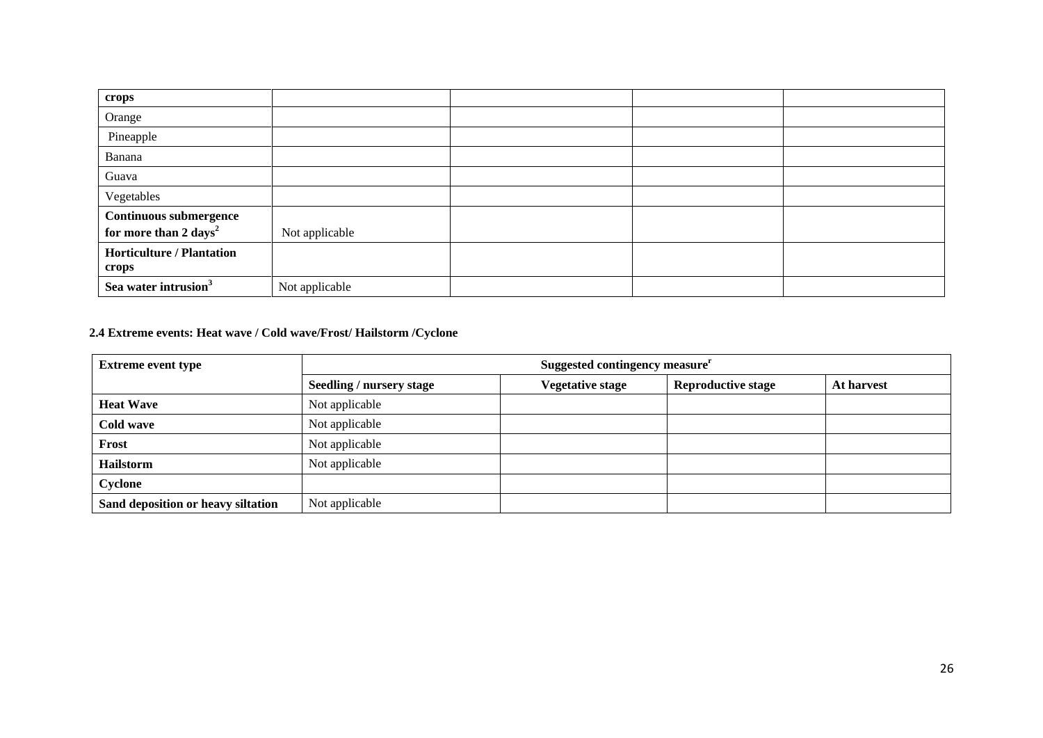| crops                                                              |                |  |  |
|--------------------------------------------------------------------|----------------|--|--|
| Orange                                                             |                |  |  |
| Pineapple                                                          |                |  |  |
| Banana                                                             |                |  |  |
| Guava                                                              |                |  |  |
| Vegetables                                                         |                |  |  |
| <b>Continuous submergence</b><br>for more than 2 days <sup>2</sup> | Not applicable |  |  |
| <b>Horticulture / Plantation</b><br>crops                          |                |  |  |
| Sea water intrusion <sup>3</sup>                                   | Not applicable |  |  |

# **2.4 Extreme events: Heat wave / Cold wave/Frost/ Hailstorm /Cyclone**

| <b>Extreme event type</b>          | Suggested contingency measure <sup>r</sup> |                         |                           |            |  |
|------------------------------------|--------------------------------------------|-------------------------|---------------------------|------------|--|
|                                    | <b>Seedling / nursery stage</b>            | <b>Vegetative stage</b> | <b>Reproductive stage</b> | At harvest |  |
| <b>Heat Wave</b>                   | Not applicable                             |                         |                           |            |  |
| Cold wave                          | Not applicable                             |                         |                           |            |  |
| Frost                              | Not applicable                             |                         |                           |            |  |
| <b>Hailstorm</b>                   | Not applicable                             |                         |                           |            |  |
| Cyclone                            |                                            |                         |                           |            |  |
| Sand deposition or heavy siltation | Not applicable                             |                         |                           |            |  |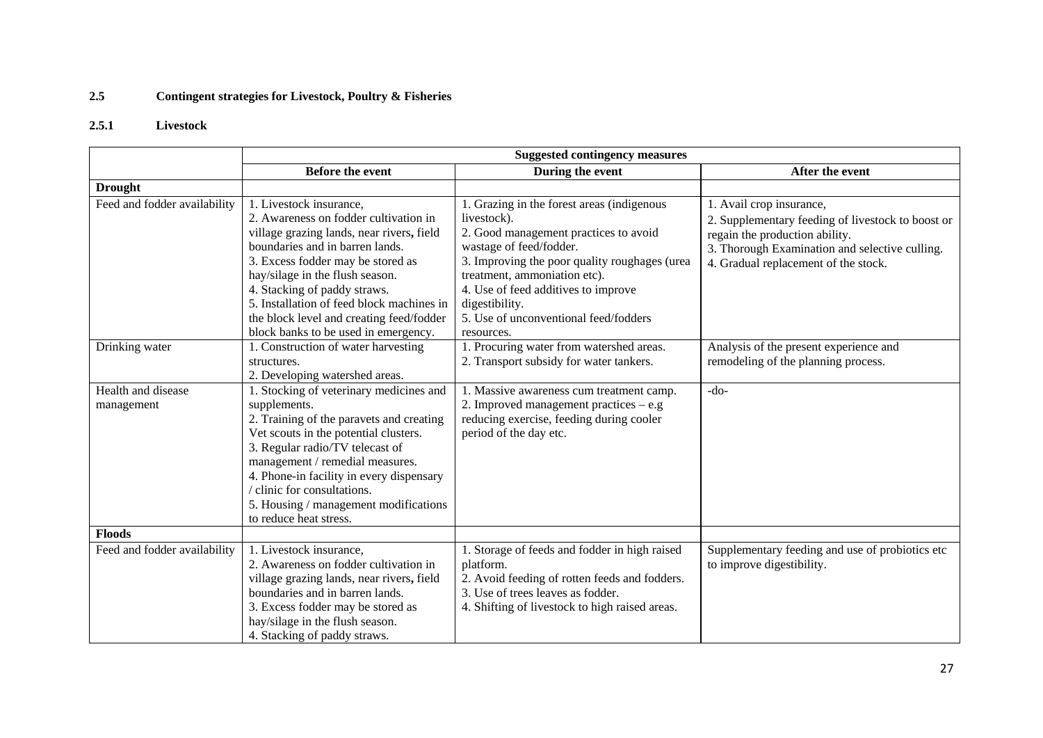# **2.5 Contingent strategies for Livestock, Poultry & Fisheries**

# **2.5.1 Livestock**

|                              | <b>Suggested contingency measures</b>     |                                                |                                                   |  |
|------------------------------|-------------------------------------------|------------------------------------------------|---------------------------------------------------|--|
|                              | <b>Before the event</b>                   | During the event                               | After the event                                   |  |
| <b>Drought</b>               |                                           |                                                |                                                   |  |
| Feed and fodder availability | 1. Livestock insurance,                   | 1. Grazing in the forest areas (indigenous     | 1. Avail crop insurance,                          |  |
|                              | 2. Awareness on fodder cultivation in     | livestock).                                    | 2. Supplementary feeding of livestock to boost or |  |
|                              | village grazing lands, near rivers, field | 2. Good management practices to avoid          | regain the production ability.                    |  |
|                              | boundaries and in barren lands.           | wastage of feed/fodder.                        | 3. Thorough Examination and selective culling.    |  |
|                              | 3. Excess fodder may be stored as         | 3. Improving the poor quality roughages (urea  | 4. Gradual replacement of the stock.              |  |
|                              | hay/silage in the flush season.           | treatment, ammoniation etc).                   |                                                   |  |
|                              | 4. Stacking of paddy straws.              | 4. Use of feed additives to improve            |                                                   |  |
|                              | 5. Installation of feed block machines in | digestibility.                                 |                                                   |  |
|                              | the block level and creating feed/fodder  | 5. Use of unconventional feed/fodders          |                                                   |  |
|                              | block banks to be used in emergency.      | resources.                                     |                                                   |  |
| Drinking water               | 1. Construction of water harvesting       | 1. Procuring water from watershed areas.       | Analysis of the present experience and            |  |
|                              | structures.                               | 2. Transport subsidy for water tankers.        | remodeling of the planning process.               |  |
|                              | 2. Developing watershed areas.            |                                                |                                                   |  |
| Health and disease           | 1. Stocking of veterinary medicines and   | 1. Massive awareness cum treatment camp.       | $-do-$                                            |  |
| management                   | supplements.                              | 2. Improved management practices $-$ e.g       |                                                   |  |
|                              | 2. Training of the paravets and creating  | reducing exercise, feeding during cooler       |                                                   |  |
|                              | Vet scouts in the potential clusters.     | period of the day etc.                         |                                                   |  |
|                              | 3. Regular radio/TV telecast of           |                                                |                                                   |  |
|                              | management / remedial measures.           |                                                |                                                   |  |
|                              | 4. Phone-in facility in every dispensary  |                                                |                                                   |  |
|                              | / clinic for consultations.               |                                                |                                                   |  |
|                              | 5. Housing / management modifications     |                                                |                                                   |  |
|                              | to reduce heat stress.                    |                                                |                                                   |  |
| <b>Floods</b>                |                                           |                                                |                                                   |  |
| Feed and fodder availability | 1. Livestock insurance,                   | 1. Storage of feeds and fodder in high raised  | Supplementary feeding and use of probiotics etc   |  |
|                              | 2. Awareness on fodder cultivation in     | platform.                                      | to improve digestibility.                         |  |
|                              | village grazing lands, near rivers, field | 2. Avoid feeding of rotten feeds and fodders.  |                                                   |  |
|                              | boundaries and in barren lands.           | 3. Use of trees leaves as fodder.              |                                                   |  |
|                              | 3. Excess fodder may be stored as         | 4. Shifting of livestock to high raised areas. |                                                   |  |
|                              | hay/silage in the flush season.           |                                                |                                                   |  |
|                              | 4. Stacking of paddy straws.              |                                                |                                                   |  |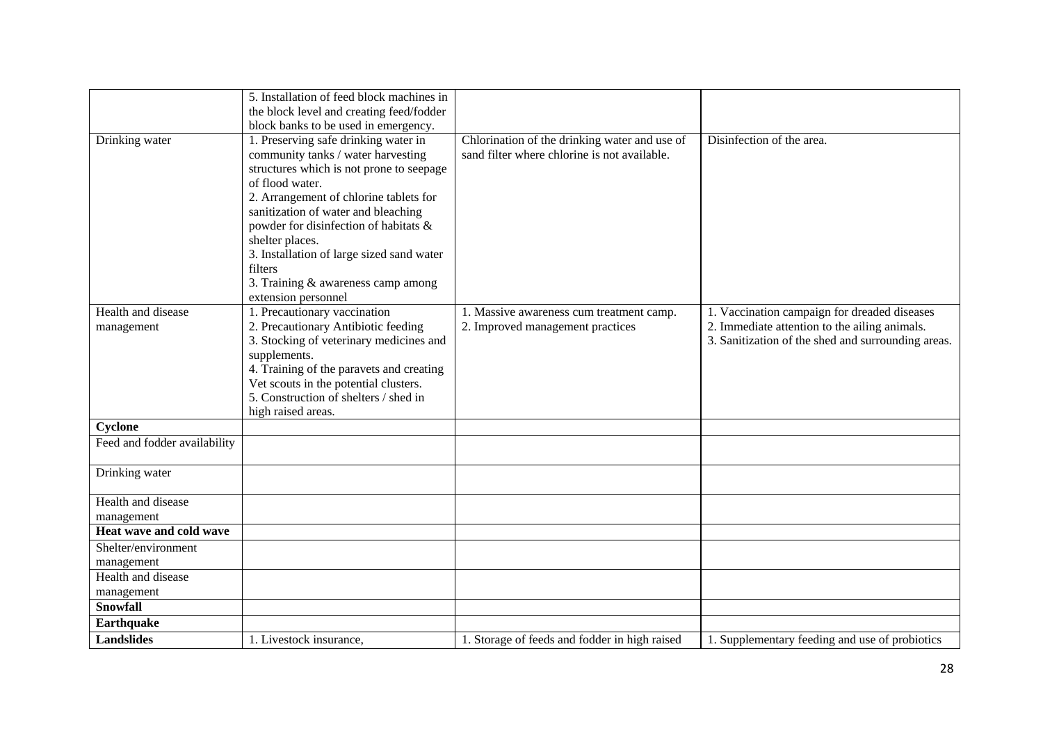|                              | 5. Installation of feed block machines in |                                               |                                                    |
|------------------------------|-------------------------------------------|-----------------------------------------------|----------------------------------------------------|
|                              | the block level and creating feed/fodder  |                                               |                                                    |
|                              | block banks to be used in emergency.      |                                               |                                                    |
| Drinking water               | 1. Preserving safe drinking water in      | Chlorination of the drinking water and use of | Disinfection of the area.                          |
|                              | community tanks / water harvesting        | sand filter where chlorine is not available.  |                                                    |
|                              | structures which is not prone to seepage  |                                               |                                                    |
|                              | of flood water.                           |                                               |                                                    |
|                              | 2. Arrangement of chlorine tablets for    |                                               |                                                    |
|                              | sanitization of water and bleaching       |                                               |                                                    |
|                              | powder for disinfection of habitats &     |                                               |                                                    |
|                              | shelter places.                           |                                               |                                                    |
|                              | 3. Installation of large sized sand water |                                               |                                                    |
|                              | filters                                   |                                               |                                                    |
|                              | 3. Training & awareness camp among        |                                               |                                                    |
|                              | extension personnel                       |                                               |                                                    |
| Health and disease           | 1. Precautionary vaccination              | 1. Massive awareness cum treatment camp.      | 1. Vaccination campaign for dreaded diseases       |
| management                   | 2. Precautionary Antibiotic feeding       | 2. Improved management practices              | 2. Immediate attention to the ailing animals.      |
|                              | 3. Stocking of veterinary medicines and   |                                               | 3. Sanitization of the shed and surrounding areas. |
|                              | supplements.                              |                                               |                                                    |
|                              | 4. Training of the paravets and creating  |                                               |                                                    |
|                              | Vet scouts in the potential clusters.     |                                               |                                                    |
|                              | 5. Construction of shelters / shed in     |                                               |                                                    |
|                              | high raised areas.                        |                                               |                                                    |
| Cyclone                      |                                           |                                               |                                                    |
| Feed and fodder availability |                                           |                                               |                                                    |
|                              |                                           |                                               |                                                    |
| Drinking water               |                                           |                                               |                                                    |
|                              |                                           |                                               |                                                    |
| Health and disease           |                                           |                                               |                                                    |
| management                   |                                           |                                               |                                                    |
| Heat wave and cold wave      |                                           |                                               |                                                    |
| Shelter/environment          |                                           |                                               |                                                    |
| management                   |                                           |                                               |                                                    |
| Health and disease           |                                           |                                               |                                                    |
| management                   |                                           |                                               |                                                    |
| Snowfall                     |                                           |                                               |                                                    |
| Earthquake                   |                                           |                                               |                                                    |
| <b>Landslides</b>            | 1. Livestock insurance,                   | 1. Storage of feeds and fodder in high raised | 1. Supplementary feeding and use of probiotics     |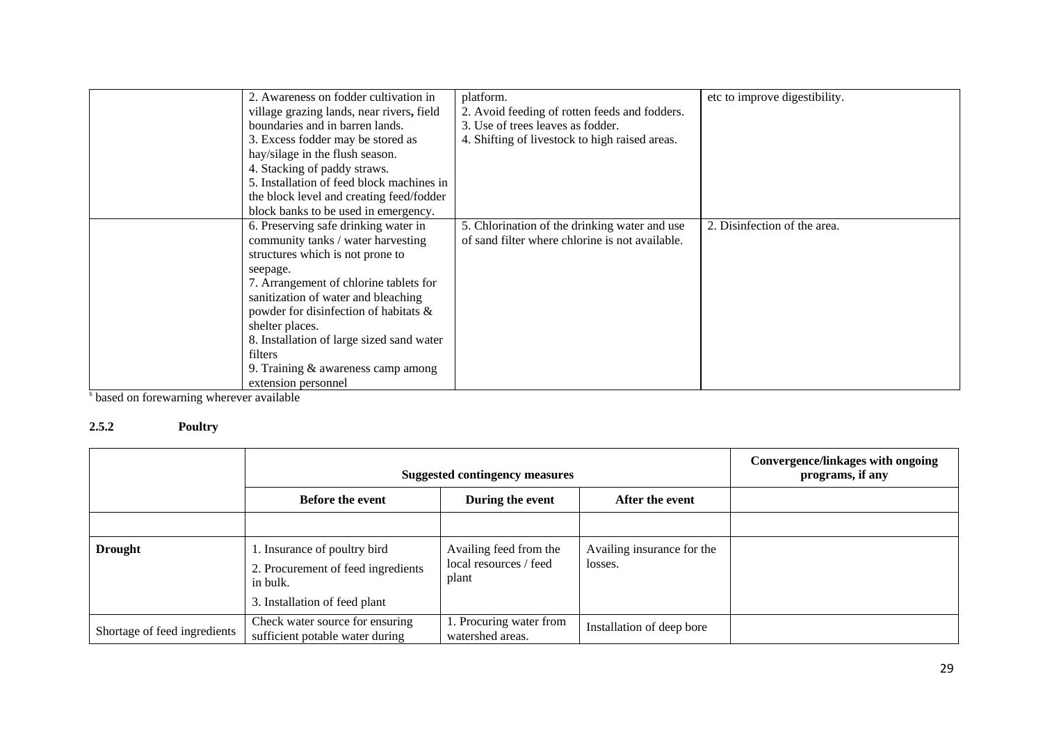| 2. Awareness on fodder cultivation in<br>village grazing lands, near rivers, field<br>boundaries and in barren lands.<br>3. Excess fodder may be stored as<br>hay/silage in the flush season.<br>4. Stacking of paddy straws.<br>5. Installation of feed block machines in                                                      | platform.<br>2. Avoid feeding of rotten feeds and fodders.<br>3. Use of trees leaves as fodder.<br>4. Shifting of livestock to high raised areas. | etc to improve digestibility. |
|---------------------------------------------------------------------------------------------------------------------------------------------------------------------------------------------------------------------------------------------------------------------------------------------------------------------------------|---------------------------------------------------------------------------------------------------------------------------------------------------|-------------------------------|
| the block level and creating feed/fodder<br>block banks to be used in emergency.                                                                                                                                                                                                                                                |                                                                                                                                                   |                               |
| 6. Preserving safe drinking water in<br>community tanks / water harvesting<br>structures which is not prone to<br>seepage.<br>7. Arrangement of chlorine tablets for<br>sanitization of water and bleaching<br>powder for disinfection of habitats &<br>shelter places.<br>8. Installation of large sized sand water<br>filters | 5. Chlorination of the drinking water and use<br>of sand filter where chlorine is not available.                                                  | 2. Disinfection of the area.  |
| 9. Training $&$ awareness camp among<br>extension personnel                                                                                                                                                                                                                                                                     |                                                                                                                                                   |                               |

<sup>s</sup> based on forewarning wherever available

# **2.5.2 Poultry**

|                              | <b>Suggested contingency measures</b>                                          |                                                           |                                       | <b>Convergence/linkages with ongoing</b><br>programs, if any |
|------------------------------|--------------------------------------------------------------------------------|-----------------------------------------------------------|---------------------------------------|--------------------------------------------------------------|
|                              | After the event<br><b>Before the event</b><br>During the event                 |                                                           |                                       |                                                              |
|                              |                                                                                |                                                           |                                       |                                                              |
| <b>Drought</b>               | 1. Insurance of poultry bird<br>2. Procurement of feed ingredients<br>in bulk. | Availing feed from the<br>local resources / feed<br>plant | Availing insurance for the<br>losses. |                                                              |
|                              | 3. Installation of feed plant                                                  |                                                           |                                       |                                                              |
| Shortage of feed ingredients | Check water source for ensuring<br>sufficient potable water during             | 1. Procuring water from<br>watershed areas.               | Installation of deep bore             |                                                              |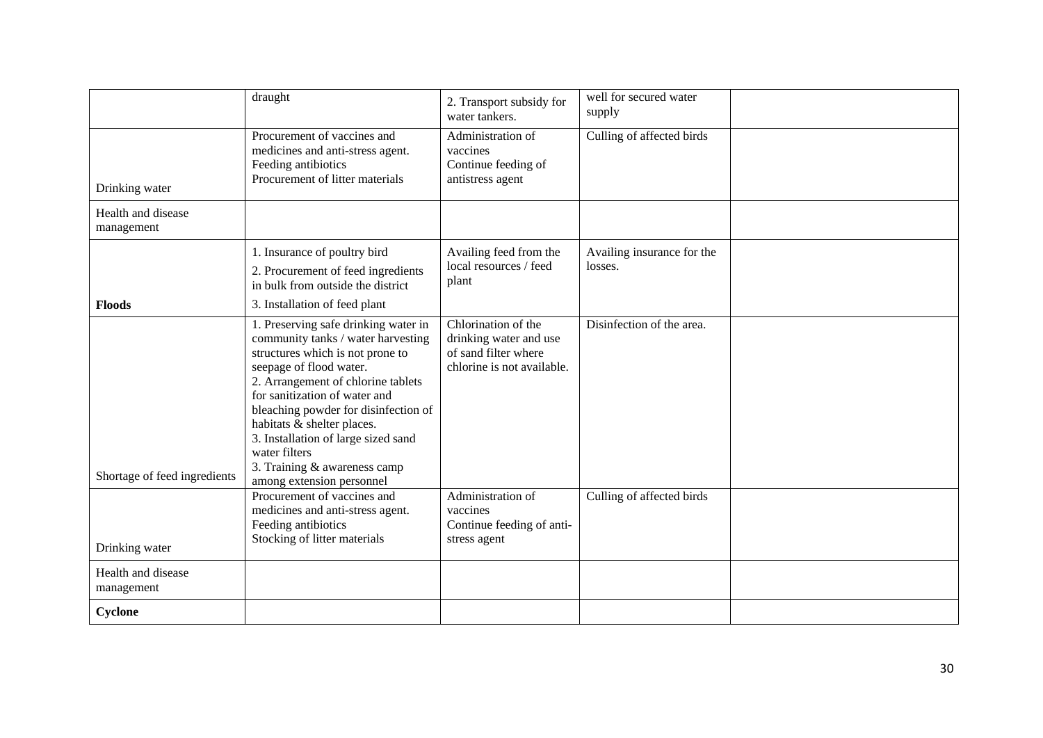|                                  | draught                                                                                                                                                                                                                                                                                                                                                                                                     | 2. Transport subsidy for<br>water tankers.                                                          | well for secured water<br>supply      |  |
|----------------------------------|-------------------------------------------------------------------------------------------------------------------------------------------------------------------------------------------------------------------------------------------------------------------------------------------------------------------------------------------------------------------------------------------------------------|-----------------------------------------------------------------------------------------------------|---------------------------------------|--|
| Drinking water                   | Procurement of vaccines and<br>medicines and anti-stress agent.<br>Feeding antibiotics<br>Procurement of litter materials                                                                                                                                                                                                                                                                                   | Administration of<br>vaccines<br>Continue feeding of<br>antistress agent                            | Culling of affected birds             |  |
| Health and disease<br>management |                                                                                                                                                                                                                                                                                                                                                                                                             |                                                                                                     |                                       |  |
| <b>Floods</b>                    | 1. Insurance of poultry bird<br>2. Procurement of feed ingredients<br>in bulk from outside the district<br>3. Installation of feed plant                                                                                                                                                                                                                                                                    | Availing feed from the<br>local resources / feed<br>plant                                           | Availing insurance for the<br>losses. |  |
| Shortage of feed ingredients     | 1. Preserving safe drinking water in<br>community tanks / water harvesting<br>structures which is not prone to<br>seepage of flood water.<br>2. Arrangement of chlorine tablets<br>for sanitization of water and<br>bleaching powder for disinfection of<br>habitats & shelter places.<br>3. Installation of large sized sand<br>water filters<br>3. Training & awareness camp<br>among extension personnel | Chlorination of the<br>drinking water and use<br>of sand filter where<br>chlorine is not available. | Disinfection of the area.             |  |
| Drinking water                   | Procurement of vaccines and<br>medicines and anti-stress agent.<br>Feeding antibiotics<br>Stocking of litter materials                                                                                                                                                                                                                                                                                      | Administration of<br>vaccines<br>Continue feeding of anti-<br>stress agent                          | Culling of affected birds             |  |
| Health and disease<br>management |                                                                                                                                                                                                                                                                                                                                                                                                             |                                                                                                     |                                       |  |
| Cyclone                          |                                                                                                                                                                                                                                                                                                                                                                                                             |                                                                                                     |                                       |  |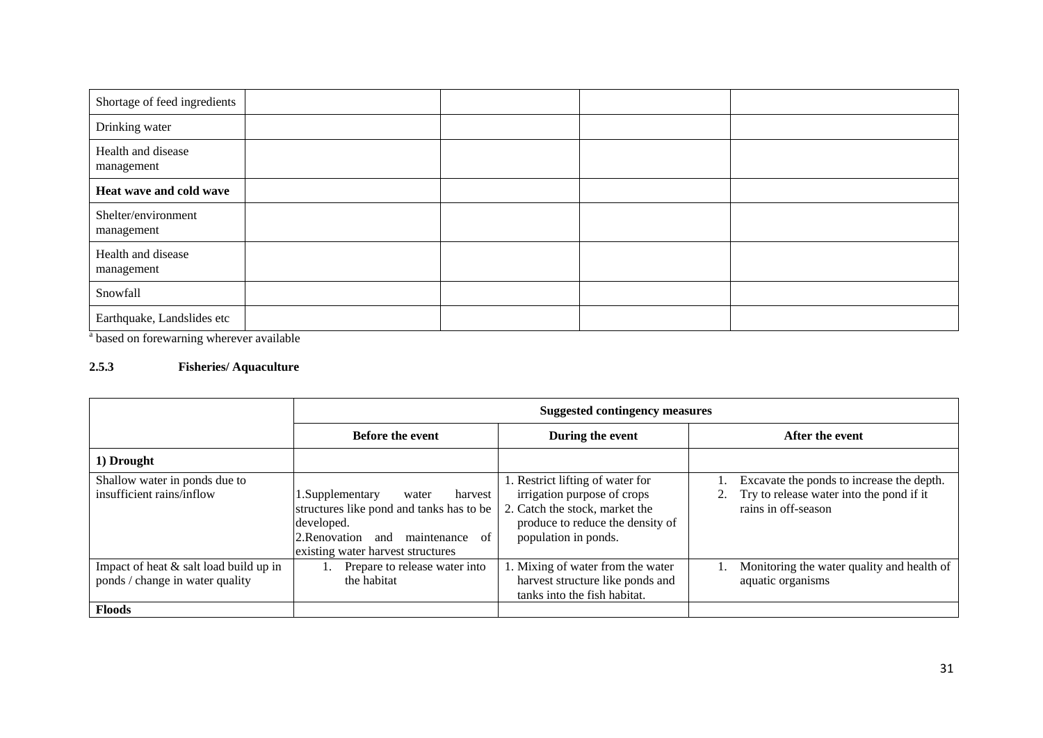| Shortage of feed ingredients      |  |  |
|-----------------------------------|--|--|
| Drinking water                    |  |  |
| Health and disease<br>management  |  |  |
| Heat wave and cold wave           |  |  |
| Shelter/environment<br>management |  |  |
| Health and disease<br>management  |  |  |
| Snowfall                          |  |  |
| Earthquake, Landslides etc        |  |  |

<sup>a</sup> based on forewarning wherever available

# **2.5.3 Fisheries/ Aquaculture**

|                                                                           | <b>Suggested contingency measures</b>                                                                                                                                            |                                                                                                                                                              |                                                                                                              |  |
|---------------------------------------------------------------------------|----------------------------------------------------------------------------------------------------------------------------------------------------------------------------------|--------------------------------------------------------------------------------------------------------------------------------------------------------------|--------------------------------------------------------------------------------------------------------------|--|
|                                                                           | <b>Before the event</b>                                                                                                                                                          | During the event                                                                                                                                             | After the event                                                                                              |  |
| 1) Drought                                                                |                                                                                                                                                                                  |                                                                                                                                                              |                                                                                                              |  |
| Shallow water in ponds due to<br>insufficient rains/inflow                | 1. Supplementary<br>harvest<br>water<br>structures like pond and tanks has to be<br>developed.<br>2. Renovation<br>of<br>maintenance<br>and<br>existing water harvest structures | . Restrict lifting of water for<br>irrigation purpose of crops<br>2. Catch the stock, market the<br>produce to reduce the density of<br>population in ponds. | Excavate the ponds to increase the depth.<br>Try to release water into the pond if it<br>rains in off-season |  |
| Impact of heat & salt load build up in<br>ponds / change in water quality | Prepare to release water into<br>the habitat                                                                                                                                     | I. Mixing of water from the water<br>harvest structure like ponds and<br>tanks into the fish habitat.                                                        | Monitoring the water quality and health of<br>aquatic organisms                                              |  |
| <b>Floods</b>                                                             |                                                                                                                                                                                  |                                                                                                                                                              |                                                                                                              |  |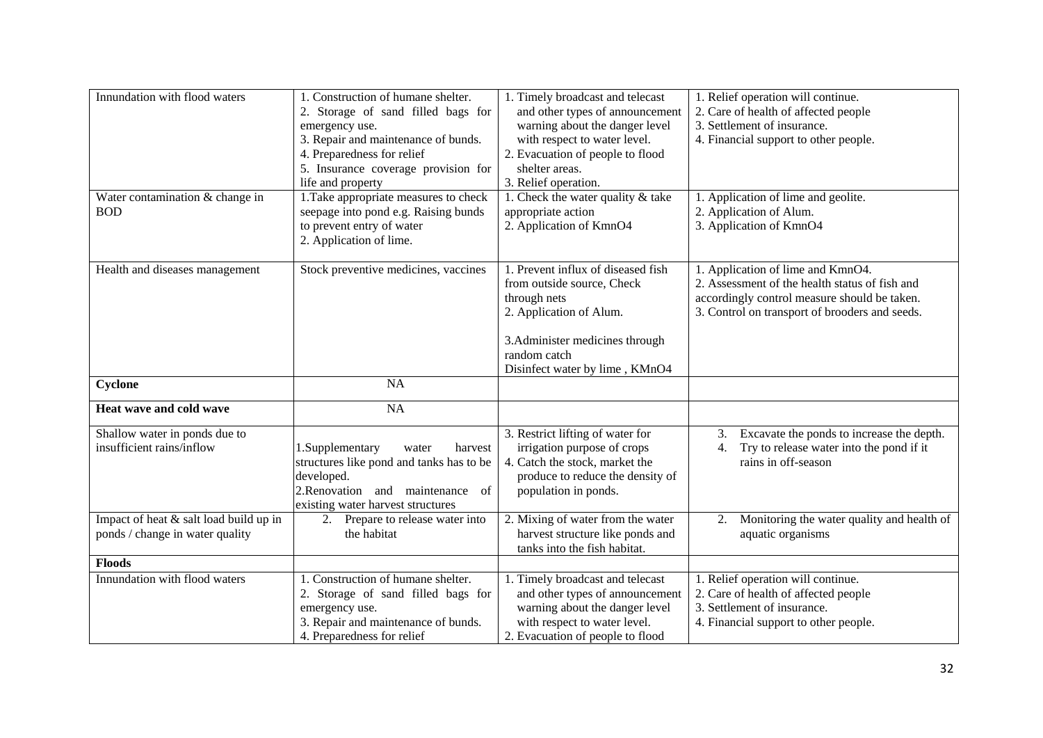| Innundation with flood waters<br>Water contamination & change in          | 1. Construction of humane shelter.<br>2. Storage of sand filled bags for<br>emergency use.<br>3. Repair and maintenance of bunds.<br>4. Preparedness for relief<br>5. Insurance coverage provision for<br>life and property<br>1. Take appropriate measures to check | 1. Timely broadcast and telecast<br>and other types of announcement<br>warning about the danger level<br>with respect to water level.<br>2. Evacuation of people to flood<br>shelter areas.<br>3. Relief operation.<br>1. Check the water quality & take | 1. Relief operation will continue.<br>2. Care of health of affected people<br>3. Settlement of insurance.<br>4. Financial support to other people.<br>1. Application of lime and geolite. |
|---------------------------------------------------------------------------|----------------------------------------------------------------------------------------------------------------------------------------------------------------------------------------------------------------------------------------------------------------------|----------------------------------------------------------------------------------------------------------------------------------------------------------------------------------------------------------------------------------------------------------|-------------------------------------------------------------------------------------------------------------------------------------------------------------------------------------------|
| <b>BOD</b>                                                                | seepage into pond e.g. Raising bunds<br>to prevent entry of water<br>2. Application of lime.                                                                                                                                                                         | appropriate action<br>2. Application of KmnO4                                                                                                                                                                                                            | 2. Application of Alum.<br>3. Application of KmnO4                                                                                                                                        |
| Health and diseases management                                            | Stock preventive medicines, vaccines                                                                                                                                                                                                                                 | 1. Prevent influx of diseased fish<br>from outside source, Check<br>through nets<br>2. Application of Alum.<br>3. Administer medicines through<br>random catch<br>Disinfect water by lime, KMnO4                                                         | 1. Application of lime and KmnO4.<br>2. Assessment of the health status of fish and<br>accordingly control measure should be taken.<br>3. Control on transport of brooders and seeds.     |
| Cyclone                                                                   | NA                                                                                                                                                                                                                                                                   |                                                                                                                                                                                                                                                          |                                                                                                                                                                                           |
| Heat wave and cold wave                                                   | NA                                                                                                                                                                                                                                                                   |                                                                                                                                                                                                                                                          |                                                                                                                                                                                           |
| Shallow water in ponds due to<br>insufficient rains/inflow                | 1.Supplementary<br>harvest<br>water<br>structures like pond and tanks has to be<br>developed.<br>2. Renovation and maintenance of<br>existing water harvest structures                                                                                               | 3. Restrict lifting of water for<br>irrigation purpose of crops<br>4. Catch the stock, market the<br>produce to reduce the density of<br>population in ponds.                                                                                            | Excavate the ponds to increase the depth.<br>3.<br>Try to release water into the pond if it<br>4.<br>rains in off-season                                                                  |
| Impact of heat & salt load build up in<br>ponds / change in water quality | 2. Prepare to release water into<br>the habitat                                                                                                                                                                                                                      | 2. Mixing of water from the water<br>harvest structure like ponds and<br>tanks into the fish habitat.                                                                                                                                                    | Monitoring the water quality and health of<br>2.<br>aquatic organisms                                                                                                                     |
| <b>Floods</b>                                                             |                                                                                                                                                                                                                                                                      |                                                                                                                                                                                                                                                          |                                                                                                                                                                                           |
| Innundation with flood waters                                             | 1. Construction of humane shelter.<br>2. Storage of sand filled bags for<br>emergency use.<br>3. Repair and maintenance of bunds.<br>4. Preparedness for relief                                                                                                      | 1. Timely broadcast and telecast<br>and other types of announcement<br>warning about the danger level<br>with respect to water level.<br>2. Evacuation of people to flood                                                                                | 1. Relief operation will continue.<br>2. Care of health of affected people<br>3. Settlement of insurance.<br>4. Financial support to other people.                                        |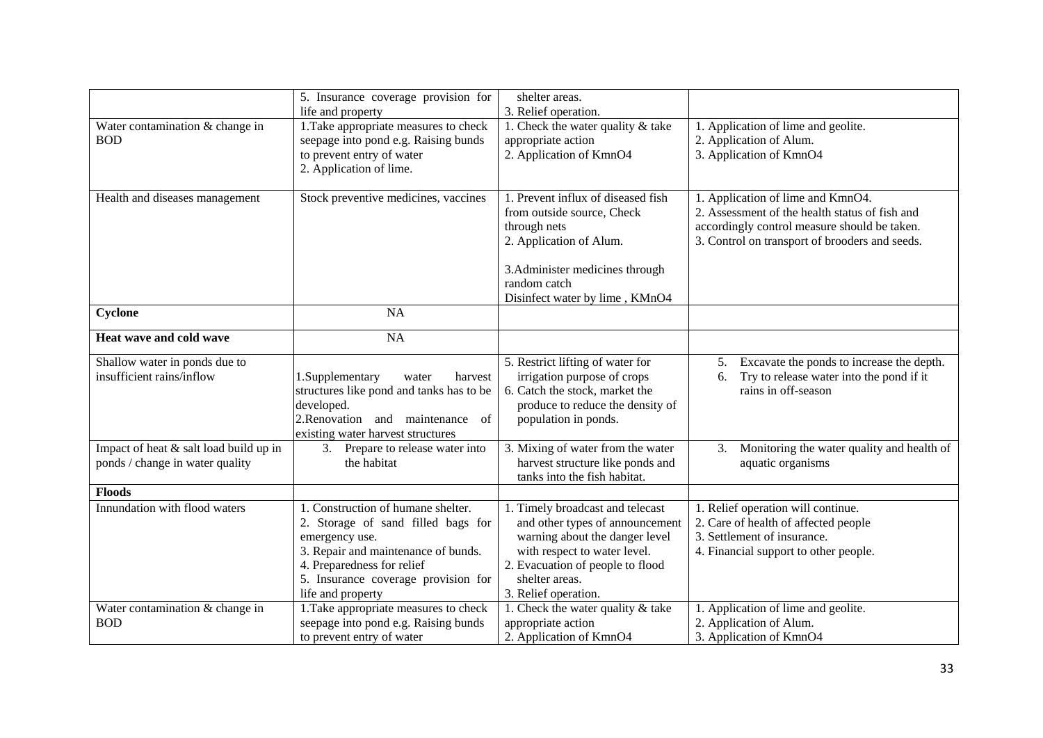|                                                                           | 5. Insurance coverage provision for                                                                                                                                                                                         | shelter areas.                                                                                                                                                                                                      |                                                                                                                                                                                       |
|---------------------------------------------------------------------------|-----------------------------------------------------------------------------------------------------------------------------------------------------------------------------------------------------------------------------|---------------------------------------------------------------------------------------------------------------------------------------------------------------------------------------------------------------------|---------------------------------------------------------------------------------------------------------------------------------------------------------------------------------------|
| Water contamination & change in<br><b>BOD</b>                             | life and property<br>1. Take appropriate measures to check<br>seepage into pond e.g. Raising bunds<br>to prevent entry of water<br>2. Application of lime.                                                                  | 3. Relief operation.<br>1. Check the water quality & take<br>appropriate action<br>2. Application of KmnO4                                                                                                          | 1. Application of lime and geolite.<br>2. Application of Alum.<br>3. Application of KmnO4                                                                                             |
| Health and diseases management                                            | Stock preventive medicines, vaccines                                                                                                                                                                                        | 1. Prevent influx of diseased fish<br>from outside source, Check<br>through nets<br>2. Application of Alum.<br>3. Administer medicines through<br>random catch<br>Disinfect water by lime, KMnO4                    | 1. Application of lime and KmnO4.<br>2. Assessment of the health status of fish and<br>accordingly control measure should be taken.<br>3. Control on transport of brooders and seeds. |
| Cyclone                                                                   | NA                                                                                                                                                                                                                          |                                                                                                                                                                                                                     |                                                                                                                                                                                       |
| Heat wave and cold wave                                                   | NA                                                                                                                                                                                                                          |                                                                                                                                                                                                                     |                                                                                                                                                                                       |
| Shallow water in ponds due to<br>insufficient rains/inflow                | 1.Supplementary<br>harvest<br>water<br>structures like pond and tanks has to be<br>developed.<br>2.Renovation and maintenance of<br>existing water harvest structures                                                       | 5. Restrict lifting of water for<br>irrigation purpose of crops<br>6. Catch the stock, market the<br>produce to reduce the density of<br>population in ponds.                                                       | Excavate the ponds to increase the depth.<br>5.<br>Try to release water into the pond if it<br>6.<br>rains in off-season                                                              |
| Impact of heat & salt load build up in<br>ponds / change in water quality | 3. Prepare to release water into<br>the habitat                                                                                                                                                                             | 3. Mixing of water from the water<br>harvest structure like ponds and<br>tanks into the fish habitat.                                                                                                               | Monitoring the water quality and health of<br>3.<br>aquatic organisms                                                                                                                 |
| <b>Floods</b>                                                             |                                                                                                                                                                                                                             |                                                                                                                                                                                                                     |                                                                                                                                                                                       |
| Innundation with flood waters                                             | 1. Construction of humane shelter.<br>2. Storage of sand filled bags for<br>emergency use.<br>3. Repair and maintenance of bunds.<br>4. Preparedness for relief<br>5. Insurance coverage provision for<br>life and property | 1. Timely broadcast and telecast<br>and other types of announcement<br>warning about the danger level<br>with respect to water level.<br>2. Evacuation of people to flood<br>shelter areas.<br>3. Relief operation. | 1. Relief operation will continue.<br>2. Care of health of affected people<br>3. Settlement of insurance.<br>4. Financial support to other people.                                    |
| Water contamination & change in<br><b>BOD</b>                             | 1. Take appropriate measures to check<br>seepage into pond e.g. Raising bunds<br>to prevent entry of water                                                                                                                  | 1. Check the water quality $&$ take<br>appropriate action<br>2. Application of KmnO4                                                                                                                                | 1. Application of lime and geolite.<br>2. Application of Alum.<br>3. Application of KmnO4                                                                                             |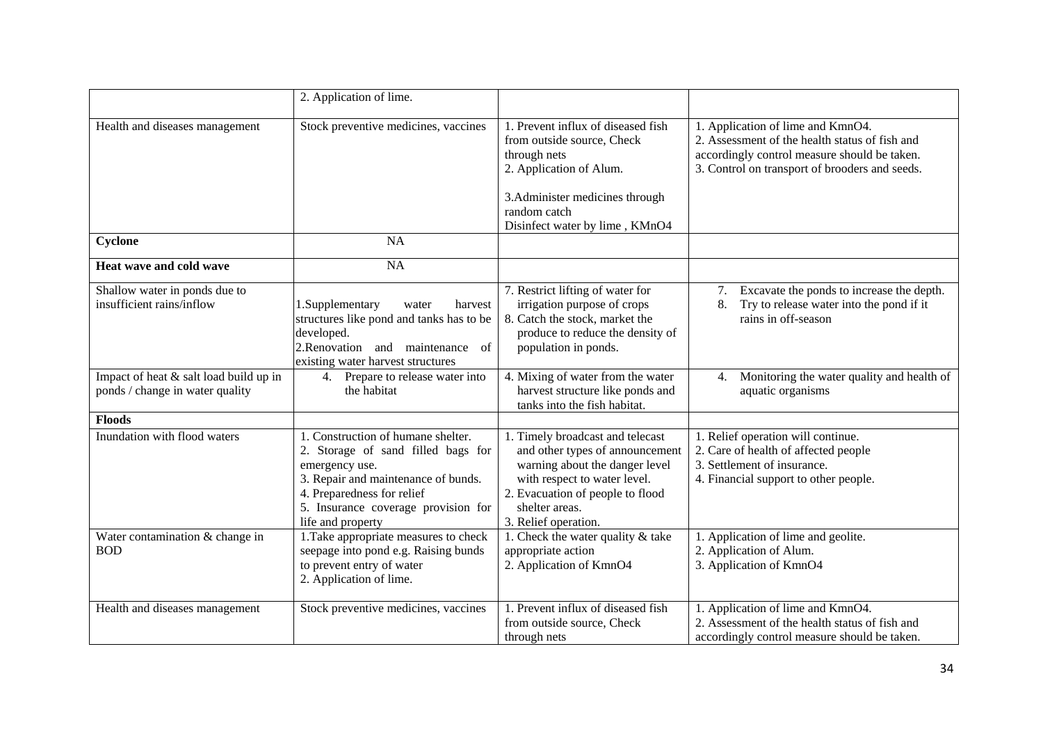|                                                                           | 2. Application of lime.                                                                                                                                                                                                     |                                                                                                                                                                                                                     |                                                                                                                                                                                       |
|---------------------------------------------------------------------------|-----------------------------------------------------------------------------------------------------------------------------------------------------------------------------------------------------------------------------|---------------------------------------------------------------------------------------------------------------------------------------------------------------------------------------------------------------------|---------------------------------------------------------------------------------------------------------------------------------------------------------------------------------------|
| Health and diseases management                                            | Stock preventive medicines, vaccines                                                                                                                                                                                        | 1. Prevent influx of diseased fish<br>from outside source, Check<br>through nets<br>2. Application of Alum.                                                                                                         | 1. Application of lime and KmnO4.<br>2. Assessment of the health status of fish and<br>accordingly control measure should be taken.<br>3. Control on transport of brooders and seeds. |
|                                                                           |                                                                                                                                                                                                                             | 3. Administer medicines through<br>random catch<br>Disinfect water by lime, KMnO4                                                                                                                                   |                                                                                                                                                                                       |
| Cyclone                                                                   | <b>NA</b>                                                                                                                                                                                                                   |                                                                                                                                                                                                                     |                                                                                                                                                                                       |
| Heat wave and cold wave                                                   | NA                                                                                                                                                                                                                          |                                                                                                                                                                                                                     |                                                                                                                                                                                       |
| Shallow water in ponds due to<br>insufficient rains/inflow                | 1.Supplementary<br>harvest<br>water<br>structures like pond and tanks has to be<br>developed.<br>2. Renovation and maintenance of<br>existing water harvest structures                                                      | 7. Restrict lifting of water for<br>irrigation purpose of crops<br>8. Catch the stock, market the<br>produce to reduce the density of<br>population in ponds.                                                       | Excavate the ponds to increase the depth.<br>7.<br>Try to release water into the pond if it<br>8.<br>rains in off-season                                                              |
| Impact of heat & salt load build up in<br>ponds / change in water quality | 4. Prepare to release water into<br>the habitat                                                                                                                                                                             | 4. Mixing of water from the water<br>harvest structure like ponds and<br>tanks into the fish habitat.                                                                                                               | Monitoring the water quality and health of<br>4.<br>aquatic organisms                                                                                                                 |
| <b>Floods</b>                                                             |                                                                                                                                                                                                                             |                                                                                                                                                                                                                     |                                                                                                                                                                                       |
| Inundation with flood waters                                              | 1. Construction of humane shelter.<br>2. Storage of sand filled bags for<br>emergency use.<br>3. Repair and maintenance of bunds.<br>4. Preparedness for relief<br>5. Insurance coverage provision for<br>life and property | 1. Timely broadcast and telecast<br>and other types of announcement<br>warning about the danger level<br>with respect to water level.<br>2. Evacuation of people to flood<br>shelter areas.<br>3. Relief operation. | 1. Relief operation will continue.<br>2. Care of health of affected people<br>3. Settlement of insurance.<br>4. Financial support to other people.                                    |
| Water contamination & change in<br><b>BOD</b>                             | 1. Take appropriate measures to check<br>seepage into pond e.g. Raising bunds<br>to prevent entry of water<br>2. Application of lime.                                                                                       | 1. Check the water quality & take<br>appropriate action<br>2. Application of KmnO4                                                                                                                                  | 1. Application of lime and geolite.<br>2. Application of Alum.<br>3. Application of KmnO4                                                                                             |
| Health and diseases management                                            | Stock preventive medicines, vaccines                                                                                                                                                                                        | 1. Prevent influx of diseased fish<br>from outside source, Check<br>through nets                                                                                                                                    | 1. Application of lime and KmnO4.<br>2. Assessment of the health status of fish and<br>accordingly control measure should be taken.                                                   |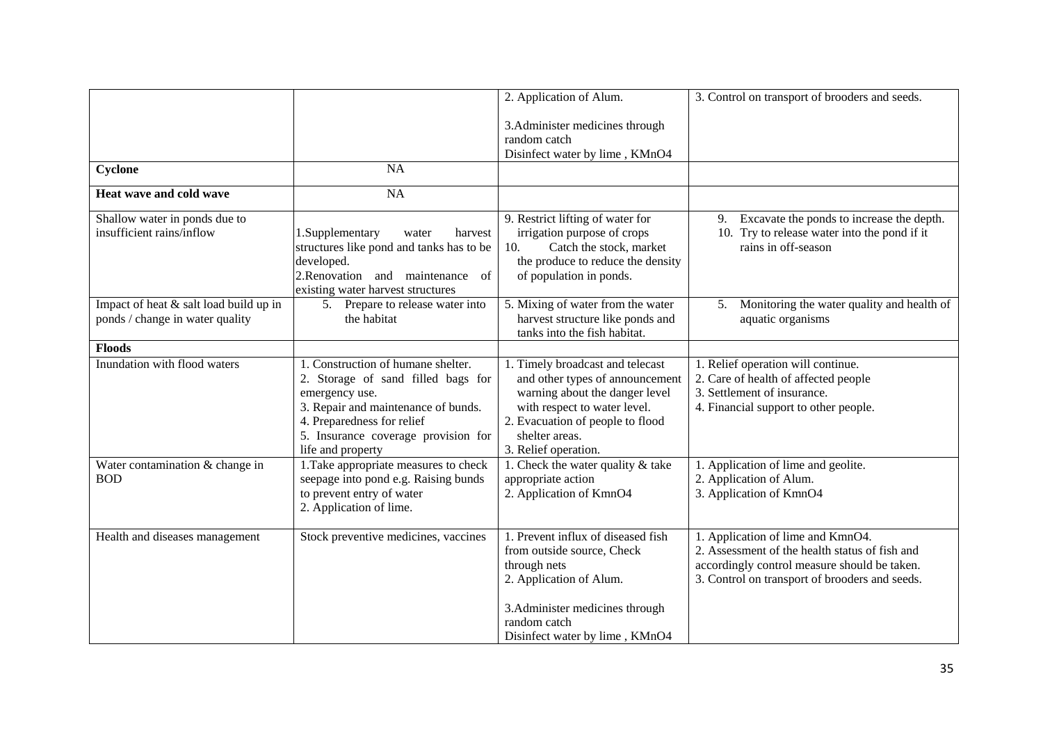|                                        |                                          | 2. Application of Alum.             | 3. Control on transport of brooders and seeds.   |
|----------------------------------------|------------------------------------------|-------------------------------------|--------------------------------------------------|
|                                        |                                          | 3. Administer medicines through     |                                                  |
|                                        |                                          | random catch                        |                                                  |
|                                        |                                          | Disinfect water by lime, KMnO4      |                                                  |
| Cyclone                                | <b>NA</b>                                |                                     |                                                  |
| Heat wave and cold wave                | NA                                       |                                     |                                                  |
| Shallow water in ponds due to          |                                          | 9. Restrict lifting of water for    | Excavate the ponds to increase the depth.<br>9.  |
| insufficient rains/inflow              | 1.Supplementary<br>harvest<br>water      | irrigation purpose of crops         | 10. Try to release water into the pond if it     |
|                                        | structures like pond and tanks has to be | Catch the stock, market<br>10.      | rains in off-season                              |
|                                        | developed.                               | the produce to reduce the density   |                                                  |
|                                        | 2. Renovation and maintenance<br>of      | of population in ponds.             |                                                  |
|                                        | existing water harvest structures        |                                     |                                                  |
| Impact of heat & salt load build up in | 5. Prepare to release water into         | 5. Mixing of water from the water   | Monitoring the water quality and health of<br>5. |
| ponds / change in water quality        | the habitat                              | harvest structure like ponds and    | aquatic organisms                                |
|                                        |                                          | tanks into the fish habitat.        |                                                  |
| <b>Floods</b>                          |                                          |                                     |                                                  |
| Inundation with flood waters           | 1. Construction of humane shelter.       | 1. Timely broadcast and telecast    | 1. Relief operation will continue.               |
|                                        | 2. Storage of sand filled bags for       | and other types of announcement     | 2. Care of health of affected people             |
|                                        | emergency use.                           | warning about the danger level      | 3. Settlement of insurance.                      |
|                                        | 3. Repair and maintenance of bunds.      | with respect to water level.        | 4. Financial support to other people.            |
|                                        | 4. Preparedness for relief               | 2. Evacuation of people to flood    |                                                  |
|                                        | 5. Insurance coverage provision for      | shelter areas.                      |                                                  |
|                                        | life and property                        | 3. Relief operation.                |                                                  |
| Water contamination & change in        | 1. Take appropriate measures to check    | 1. Check the water quality $&$ take | 1. Application of lime and geolite.              |
| <b>BOD</b>                             | seepage into pond e.g. Raising bunds     | appropriate action                  | 2. Application of Alum.                          |
|                                        | to prevent entry of water                | 2. Application of KmnO4             | 3. Application of KmnO4                          |
|                                        | 2. Application of lime.                  |                                     |                                                  |
|                                        |                                          |                                     |                                                  |
| Health and diseases management         | Stock preventive medicines, vaccines     | 1. Prevent influx of diseased fish  | 1. Application of lime and KmnO4.                |
|                                        |                                          | from outside source, Check          | 2. Assessment of the health status of fish and   |
|                                        |                                          | through nets                        | accordingly control measure should be taken.     |
|                                        |                                          | 2. Application of Alum.             | 3. Control on transport of brooders and seeds.   |
|                                        |                                          | 3. Administer medicines through     |                                                  |
|                                        |                                          | random catch                        |                                                  |
|                                        |                                          | Disinfect water by lime, KMnO4      |                                                  |